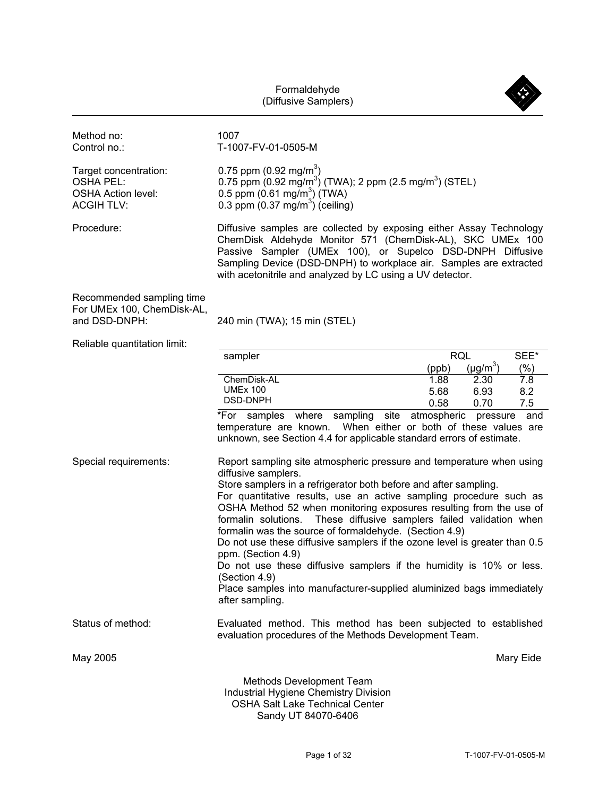Formaldehyde



Industrial Hygiene Chemistry Division OSHA Salt Lake Technical Center Sandy UT 84070-6406

Page 1 of 32 T-1007-FV-01-0505-M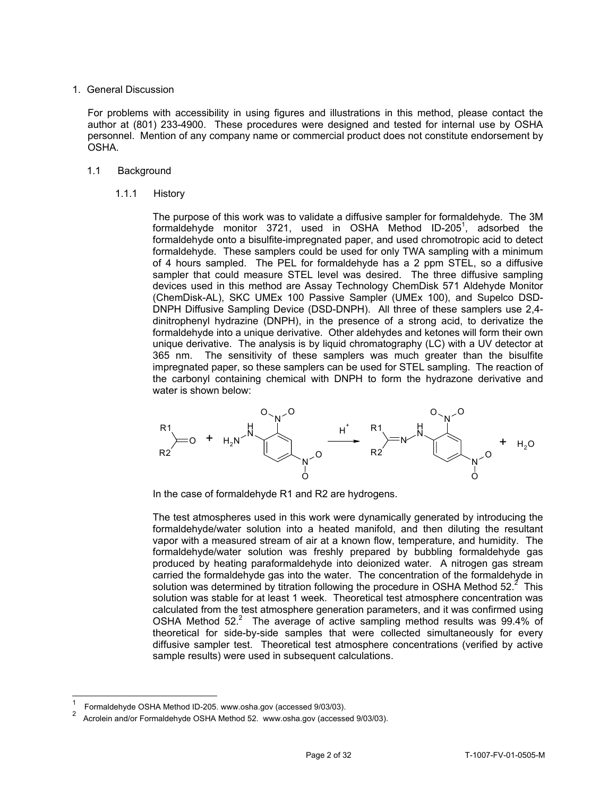# 1. General Discussion

For problems with accessibility in using figures and illustrations in this method, please contact the author at (801) 233-4900. These procedures were designed and tested for internal use by OSHA personnel. Mention of any company name or commercial product does not constitute endorsement by OSHA.

# 1.1 Background

1.1.1 History

The purpose of this work was to validate a diffusive sampler for formaldehyde. The 3M formaldehyde monitor 3721, used in OSHA Method ID-205<sup>1</sup>, adsorbed the formaldehyde onto a bisulfite-impregnated paper, and used chromotropic acid to detect formaldehyde. These samplers could be used for only TWA sampling with a minimum of 4 hours sampled. The PEL for formaldehyde has a 2 ppm STEL, so a diffusive sampler that could measure STEL level was desired. The three diffusive sampling devices used in this method are Assay Technology ChemDisk 571 Aldehyde Monitor (ChemDisk-AL), SKC UMEx 100 Passive Sampler (UMEx 100), and Supelco DSD-DNPH Diffusive Sampling Device (DSD-DNPH). All three of these samplers use 2,4 dinitrophenyl hydrazine (DNPH), in the presence of a strong acid, to derivatize the formaldehyde into a unique derivative. Other aldehydes and ketones will form their own unique derivative. The analysis is by liquid chromatography (LC) with a UV detector at 365 nm. The sensitivity of these samplers was much greater than the bisulfite impregnated paper, so these samplers can be used for STEL sampling. The reaction of the carbonyl containing chemical with DNPH to form the hydrazone derivative and water is shown below:



In the case of formaldehyde R1 and R2 are hydrogens.

The test atmospheres used in this work were dynamically generated by introducing the formaldehyde/water solution into a heated manifold, and then diluting the resultant vapor with a measured stream of air at a known flow, temperature, and humidity. The formaldehyde/water solution was freshly prepared by bubbling formaldehyde gas produced by heating paraformaldehyde into deionized water. A nitrogen gas stream carried the formaldehyde gas into the water. The concentration of the formaldehyde in solution was determined by titration following the procedure in OSHA Method 52. $2$  This solution was stable for at least 1 week. Theoretical test atmosphere concentration was calculated from the test atmosphere generation parameters, and it was confirmed using OSHA Method  $52<sup>2</sup>$  The average of active sampling method results was 99.4% of theoretical for side-by-side samples that were collected simultaneously for every diffusive sampler test. Theoretical test atmosphere concentrations (verified by active sample results) were used in subsequent calculations.

-

Formaldehyde OSHA Method ID-205. <www.osha.gov>(accessed 9/03/03).

Acrolein and/or Formaldehyde OSHA Method 52. <www.osha.gov>(accessed 9/03/03).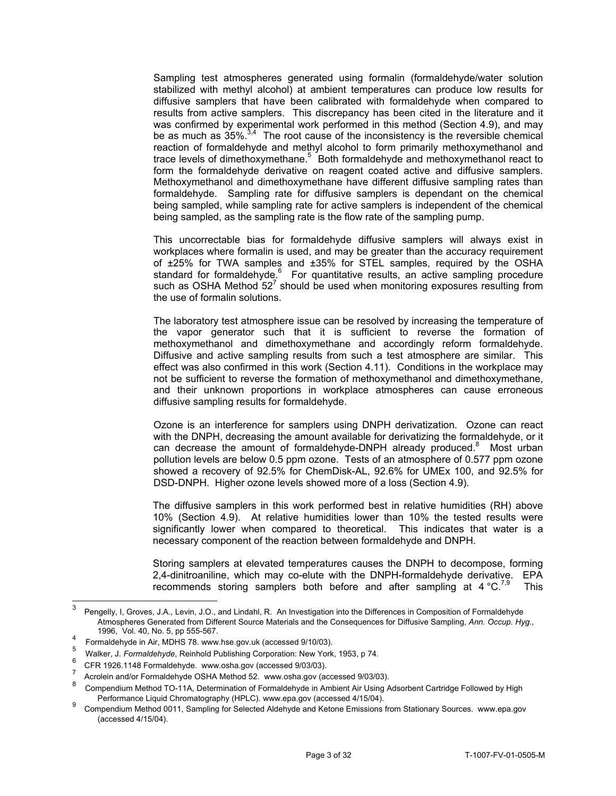Sampling test atmospheres generated using formalin (formaldehyde/water solution stabilized with methyl alcohol) at ambient temperatures can produce low results for diffusive samplers that have been calibrated with formaldehyde when compared to results from active samplers. This discrepancy has been cited in the literature and it was confirmed by experimental work performed in this method (Section 4.9), and may be as much as  $35\%$ <sup>3,4</sup> The root cause of the inconsistency is the reversible chemical reaction of formaldehyde and methyl alcohol to form primarily methoxymethanol and trace levels of dimethoxymethane.<sup>5</sup> Both formaldehyde and methoxymethanol react to form the formaldehyde derivative on reagent coated active and diffusive samplers. Methoxymethanol and dimethoxymethane have different diffusive sampling rates than formaldehyde. Sampling rate for diffusive samplers is dependant on the chemical being sampled, while sampling rate for active samplers is independent of the chemical being sampled, as the sampling rate is the flow rate of the sampling pump.

This uncorrectable bias for formaldehyde diffusive samplers will always exist in workplaces where formalin is used, and may be greater than the accuracy requirement of ±25% for TWA samples and ±35% for STEL samples, required by the OSHA standard for formaldehyde.<sup>6</sup> For quantitative results, an active sampling procedure such as OSHA Method  $52^7$  should be used when monitoring exposures resulting from the use of formalin solutions.

The laboratory test atmosphere issue can be resolved by increasing the temperature of the vapor generator such that it is sufficient to reverse the formation of methoxymethanol and dimethoxymethane and accordingly reform formaldehyde. Diffusive and active sampling results from such a test atmosphere are similar. This effect was also confirmed in this work (Section 4.11). Conditions in the workplace may not be sufficient to reverse the formation of methoxymethanol and dimethoxymethane, and their unknown proportions in workplace atmospheres can cause erroneous diffusive sampling results for formaldehyde.

 pollution levels are below 0.5 ppm ozone. Tests of an atmosphere of 0.577 ppm ozone Ozone is an interference for samplers using DNPH derivatization. Ozone can react with the DNPH, decreasing the amount available for derivatizing the formaldehyde, or it can decrease the amount of formaldehyde-DNPH already produced. $8$  Most urban showed a recovery of 92.5% for ChemDisk-AL, 92.6% for UMEx 100, and 92.5% for DSD-DNPH. Higher ozone levels showed more of a loss (Section 4.9).

The diffusive samplers in this work performed best in relative humidities (RH) above 10% (Section 4.9). At relative humidities lower than 10% the tested results were significantly lower when compared to theoretical. This indicates that water is a necessary component of the reaction between formaldehyde and DNPH.

Storing samplers at elevated temperatures causes the DNPH to decompose, forming 2,4-dinitroaniline, which may co-elute with the DNPH-formaldehyde derivative. EPA recommends storing samplers both before and after sampling at  $4 \degree C^{7,9}$  This

 $\overline{3}$ Pengelly, I, Groves, J.A., Levin, J.O., and Lindahl, R. An Investigation into the Differences in Composition of Formaldehyde Atmospheres Generated from Different Source Materials and the Consequences for Diffusive Sampling, *Ann. Occup. Hyg*.,

<sup>1996,</sup> Vol. 40, No. 5, pp 555-567.<br>
Formaldehyde in Air, MDHS 78.<www.hse.gov.uk> (accessed 9/10/03).

<sup>5</sup> Walker, J. *Formaldehyde*, Reinhold Publishing Corporation: New York, 1953, p 74.

<sup>6</sup> 6 CFR 1926.1148 Formaldehyde. <www.osha.gov> (accessed 9/03/03).

Acrolein and/or Formaldehyde OSHA Method 52. <www.osha.gov>(accessed 9/03/03).

<sup>8</sup> Compendium Method TO-11A, Determination of Formaldehyde in Ambient Air Using Adsorbent Cartridge Followed by High

<sup>&</sup>lt;sup>9</sup> Compendium Method 0011, Sampling for Selected Aldehyde and Ketone Emissions from Stationary Sources. <www.epa.gov> (accessed 4/15/04).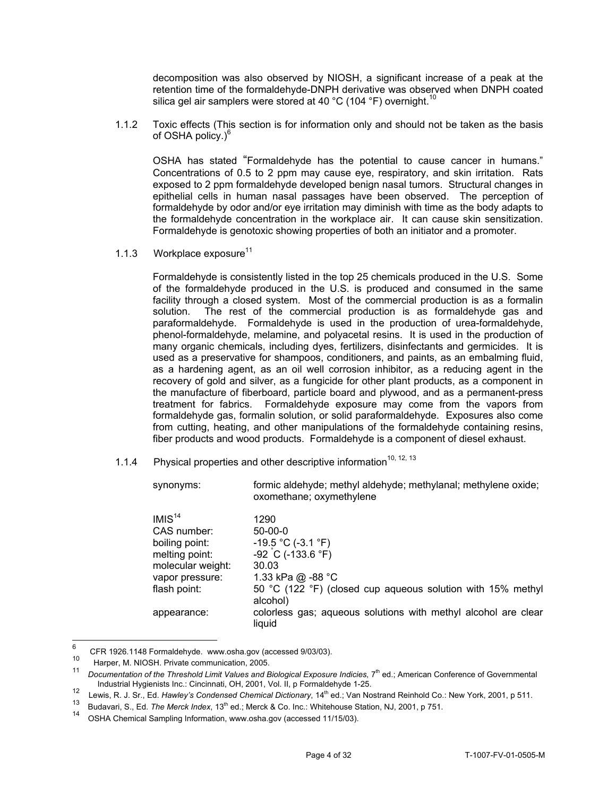silica gel air samplers were stored at 40 °C (104 °F) [overnight.](https://overnight.10)<sup>10</sup> decomposition was also observed by NIOSH, a significant increase of a peak at the retention time of the formaldehyde-DNPH derivative was observed when DNPH coated

1.1.2 Toxic effects (This section is for information only and should not be taken as the basis of OSHA policy. $)^6$ 

OSHA has stated "Formaldehyde has the potential to cause cancer in humans." Concentrations of 0.5 to 2 ppm may cause eye, respiratory, and skin irritation. Rats exposed to 2 ppm formaldehyde developed benign nasal tumors. Structural changes in epithelial cells in human nasal passages have been observed. The perception of formaldehyde by odor and/or eye irritation may diminish with time as the body adapts to the formaldehyde concentration in the workplace air. It can cause skin sensitization. Formaldehyde is genotoxic showing properties of both an initiator and a promoter.

1.1.3 Workplace exposure<sup>11</sup>

 solution. The rest of the commercial production is as formaldehyde gas and paraformaldehyde. Formaldehyde is used in the production of urea-formaldehyde, Formaldehyde is consistently listed in the top 25 chemicals produced in the U.S. Some of the formaldehyde produced in the U.S. is produced and consumed in the same facility through a closed system. Most of the commercial production is as a formalin phenol-formaldehyde, melamine, and polyacetal resins. It is used in the production of many organic chemicals, including dyes, fertilizers, disinfectants and germicides. It is used as a preservative for shampoos, conditioners, and paints, as an embalming fluid, as a hardening agent, as an oil well corrosion inhibitor, as a reducing agent in the recovery of gold and silver, as a fungicide for other plant products, as a component in the manufacture of fiberboard, particle board and plywood, and as a permanent-press treatment for fabrics. Formaldehyde exposure may come from the vapors from formaldehyde gas, formalin solution, or solid paraformaldehyde. Exposures also come from cutting, heating, and other manipulations of the formaldehyde containing resins, fiber products and wood products. Formaldehyde is a component of diesel exhaust.

1.1.4 Physical properties and other descriptive information<sup>10, 12, 13</sup>

| synonyms:                                                                                                                     | formic aldehyde; methyl aldehyde; methylanal; methylene oxide;<br>oxomethane; oxymethylene                                                                                    |
|-------------------------------------------------------------------------------------------------------------------------------|-------------------------------------------------------------------------------------------------------------------------------------------------------------------------------|
| IMIS <sup>14</sup><br>CAS number:<br>boiling point:<br>melting point:<br>molecular weight:<br>vapor pressure:<br>flash point: | 1290<br>$50 - 00 - 0$<br>$-19.5$ °C (-3.1 °F)<br>$-92$ C (-133.6 °F)<br>30.03<br>1.33 kPa @ -88 °C<br>50 °C (122 °F) (closed cup aqueous solution with 15% methyl<br>alcohol) |

liquid appearance: colorless gas; aqueous solutions with methyl alcohol are clear

 $\hat{a}$ CFR 1926.1148 Formaldehyde. <www.osha.gov> (accessed 9/03/03).

 $10\,$  $10$  Harper, M. NIOSH. Private communication, 2005.

Documentation of the Threshold Limit Values and Biological Exposure Indicies, 7<sup>th</sup> ed.; American Conference of Governmental Industrial Hygienists Inc.: Cincinnati, OH, 2001, Vol. II, p Formaldehyde 1-25. 12 Lewis, R. J. Sr., Ed. *Hawley's Condensed Chemical Dictionary*, 14th ed.; Van Nostrand Reinhold Co.: New York, 2001, p 511.

<sup>13</sup> Budavari, S., Ed. The Merck Index, 13<sup>th</sup> ed.; Merck & Co. Inc.: Whitehouse Station, NJ, 2001, p 751.

 $14$ OSHA Chemical Sampling Information, <www.osha.gov>(accessed 11/15/03).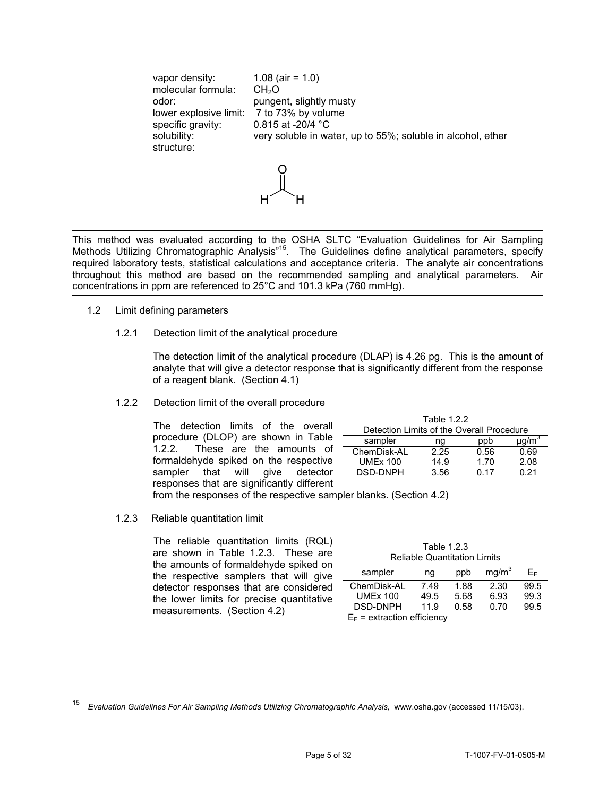vapor density:  $1.08$  (air = 1.0) molecular formula:  $CH<sub>2</sub>O$ <br>odor: punge pungent, slightly musty lower explosive limit: 7 to 73% by volume specific gravity: 0.815 at -20/4 °C solubility: very soluble in water, up to 55%; soluble in alcohol, ether structure:  $\cap$ 

$$
\mathbf{H} \setminus \mathbf{H}
$$

This method was evaluated according to the OSHA SLTC "Evaluation Guidelines for Air Sampling Methods Utilizing Chromatographic Analysis<sup>"15</sup>. The Guidelines define analytical parameters, specify required laboratory tests, statistical calculations and acceptance criteria. The analyte air concentrations throughout this method are based on the recommended sampling and analytical parameters. Air concentrations in ppm are referenced to 25°C and 101.3 kPa (760 mmHg).

- 1.2 Limit defining parameters
	- 1.2.1 Detection limit of the analytical procedure

The detection limit of the analytical procedure (DLAP) is 4.26 pg. This is the amount of analyte that will give a detector response that is significantly different from the response of a reagent blank. (Section 4.1)

# 1.2.2 Detection limit of the overall procedure

The detection limits of the overall procedure (DLOP) are shown in Table<br>1.2.2. These are the amounts of These are the amounts of formaldehyde spiked on the respective sampler that will give detector responses that are significantly different

| Table 1.2.2                               |      |      |       |  |
|-------------------------------------------|------|------|-------|--|
| Detection Limits of the Overall Procedure |      |      |       |  |
| sampler                                   | na   | ppb  | µq/m° |  |
| ChemDisk-AL                               | 2.25 | 0.56 | 0.69  |  |
| <b>UMEx 100</b>                           | 14.9 | 1.70 | 2.08  |  |
| <b>DSD-DNPH</b>                           | 3.56 | በ 17 | በ 21  |  |

from the responses of the respective sampler blanks. (Section 4.2) 1.2.3 Reliable quantitation limit

The reliable quantitation limits (RQL) are shown in Table 1.2.3. These are the amounts of formaldehyde spiked on the respective samplers that will give detector responses that are considered the lower limits for precise quantitative  $\frac{\text{UMEx 100}}{\text{BSD-DNPH}}$  11.9<br>measurements. (Section 4.2)  $\frac{\text{DSD-DNPH}}{\text{E}_{\text{E}} = \text{extraction efficiency}}$ 

| Table 1.2.3                         |  |
|-------------------------------------|--|
| <b>Reliable Quantitation Limits</b> |  |

| sampler         | ng                                                                                                                                                                                                                              | ppb  | mg/m <sup>3</sup> | E⊧   |
|-----------------|---------------------------------------------------------------------------------------------------------------------------------------------------------------------------------------------------------------------------------|------|-------------------|------|
| ChemDisk-AL     | 7.49                                                                                                                                                                                                                            | 1.88 | 2.30              | 99.5 |
| <b>UMEx 100</b> | 49.5                                                                                                                                                                                                                            | 5.68 | 6.93              | 99.3 |
| <b>DSD-DNPH</b> | 11.9                                                                                                                                                                                                                            | 0.58 | 0.70              | 99.5 |
|                 | $\sim$ . The set of the set of the set of the set of the set of the set of the set of the set of the set of the set of the set of the set of the set of the set of the set of the set of the set of the set of the set of the s |      |                   |      |

<sup>15</sup> <sup>15</sup>*Evaluation Guidelines For Air Sampling Methods Utilizing Chromatographic Analysis,* <www.osha.gov> (accessed 11/15/03).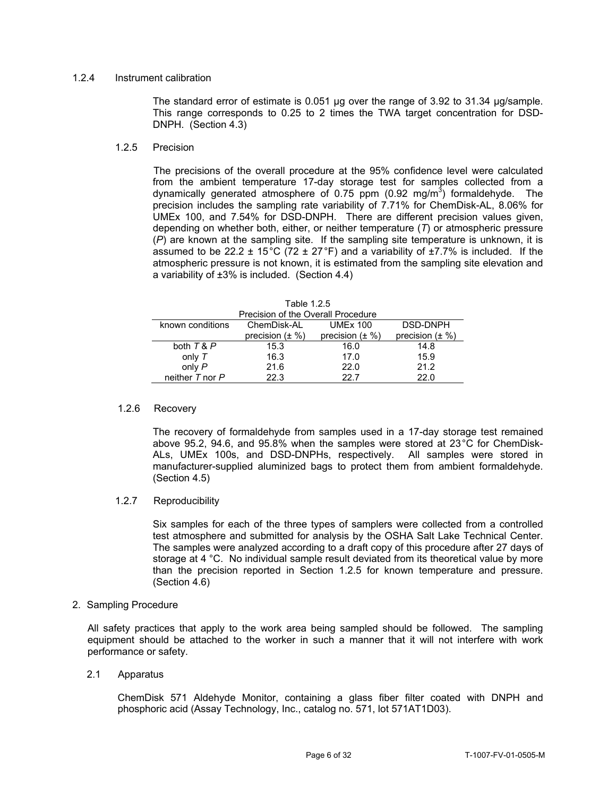# 1.2.4 Instrument calibration

The standard error of estimate is 0.051 µg over the range of 3.92 to 31.34 µg/sample. This range corresponds to 0.25 to 2 times the TWA target concentration for DSD-DNPH. (Section 4.3)

# 1.2.5 Precision

The precisions of the overall procedure at the 95% confidence level were calculated from the ambient temperature 17-day storage test for samples collected from a dynamically generated atmosphere of 0.75 ppm (0.92 mg/m<sup>3</sup>) formaldehyde. The precision includes the sampling rate variability of 7.71% for ChemDisk-AL, 8.06% for UMEx 100, and 7.54% for DSD-DNPH. There are different precision values given, depending on whether both, either, or neither temperature (*T*) or atmospheric pressure (*P*) are known at the sampling site. If the sampling site temperature is unknown, it is assumed to be 22.2  $\pm$  15°C (72  $\pm$  27°F) and a variability of  $\pm$ 7.7% is included. If the atmospheric pressure is not known, it is estimated from the sampling site elevation and a variability of ±3% is included. (Section 4.4)

| Precision of the Overall Procedure |                      |                      |                      |  |
|------------------------------------|----------------------|----------------------|----------------------|--|
| known conditions                   | ChemDisk-AL          | <b>UMEx 100</b>      | DSD-DNPH             |  |
|                                    | precision $(\pm \%)$ | precision $(\pm \%)$ | precision $(\pm \%)$ |  |
| both $T & P$                       | 15.3                 | 16.0                 | 14.8                 |  |
| only $T$                           | 16.3                 | 17.0                 | 15.9                 |  |
| only $P$                           | 21.6                 | 22.0                 | 21.2                 |  |
| neither $T$ nor $P$                | 22.3                 | 22 Z                 | 22 O                 |  |

#### 1.2.6 Recovery

The recovery of formaldehyde from samples used in a 17-day storage test remained above 95.2, 94.6, and 95.8% when the samples were stored at 23°C for ChemDisk-ALs, UMEx 100s, and DSD-DNPHs, respectively. All samples were stored in manufacturer-supplied aluminized bags to protect them from ambient formaldehyde. (Section 4.5)

# 1.2.7 Reproducibility

Six samples for each of the three types of samplers were collected from a controlled test atmosphere and submitted for analysis by the OSHA Salt Lake Technical Center. The samples were analyzed according to a draft copy of this procedure after 27 days of storage at 4 °C. No individual sample result deviated from its theoretical value by more than the precision reported in Section 1.2.5 for known temperature and pressure. (Section 4.6)

# 2. Sampling Procedure

All safety practices that apply to the work area being sampled should be followed. The sampling equipment should be attached to the worker in such a manner that it will not interfere with work performance or safety.

# 2.1 Apparatus

ChemDisk 571 Aldehyde Monitor, containing a glass fiber filter coated with DNPH and phosphoric acid (Assay Technology, Inc., catalog no. 571, lot 571AT1D03).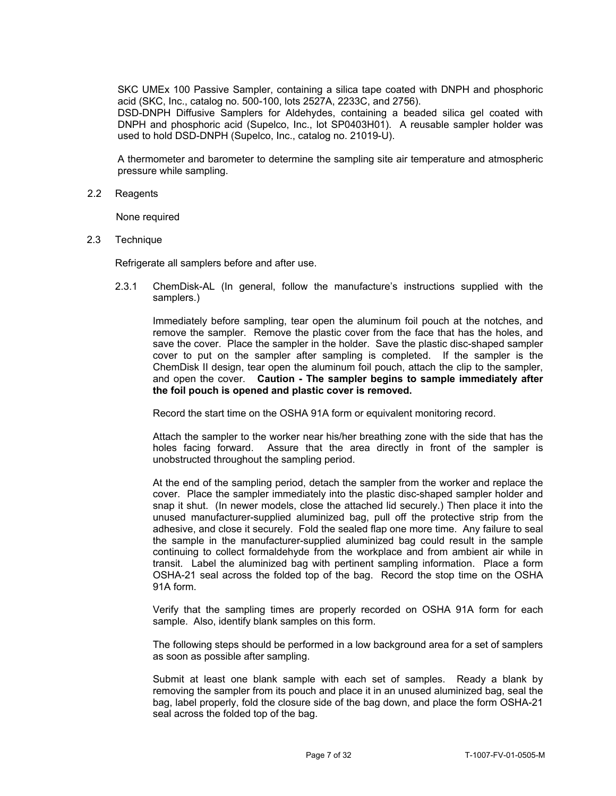SKC UMEx 100 Passive Sampler, containing a silica tape coated with DNPH and phosphoric acid (SKC, Inc., catalog no. 500-100, lots 2527A, 2233C, and 2756).

 DSD-DNPH Diffusive Samplers for Aldehydes, containing a beaded silica gel coated with DNPH and phosphoric acid (Supelco, Inc., lot SP0403H01). A reusable sampler holder was used to hold DSD-DNPH (Supelco, Inc., catalog no. 21019-U).

A thermometer and barometer to determine the sampling site air temperature and atmospheric pressure while sampling.

2.2 Reagents

None required

2.3 Technique

Refrigerate all samplers before and after use.

2.3.1 ChemDisk-AL (In general, follow the manufacture's instructions supplied with the samplers.)

Immediately before sampling, tear open the aluminum foil pouch at the notches, and remove the sampler. Remove the plastic cover from the face that has the holes, and save the cover. Place the sampler in the holder. Save the plastic disc-shaped sampler cover to put on the sampler after sampling is completed. If the sampler is the ChemDisk II design, tear open the aluminum foil pouch, attach the clip to the sampler, and open the cover. **Caution - The sampler begins to sample immediately after the foil pouch is opened and plastic cover is removed.** 

Record the start time on the OSHA 91A form or equivalent monitoring record.

Attach the sampler to the worker near his/her breathing zone with the side that has the holes facing forward. Assure that the area directly in front of the sampler is unobstructed throughout the sampling period.

At the end of the sampling period, detach the sampler from the worker and replace the cover. Place the sampler immediately into the plastic disc-shaped sampler holder and snap it shut. (In newer models, close the attached lid securely.) Then place it into the unused manufacturer-supplied aluminized bag, pull off the protective strip from the adhesive, and close it securely. Fold the sealed flap one more time. Any failure to seal the sample in the manufacturer-supplied aluminized bag could result in the sample continuing to collect formaldehyde from the workplace and from ambient air while in transit. Label the aluminized bag with pertinent sampling information. Place a form OSHA-21 seal across the folded top of the bag. Record the stop time on the OSHA 91A form.

Verify that the sampling times are properly recorded on OSHA 91A form for each sample. Also, identify blank samples on this form.

The following steps should be performed in a low background area for a set of samplers as soon as possible after sampling.

Submit at least one blank sample with each set of samples. Ready a blank by removing the sampler from its pouch and place it in an unused aluminized bag, seal the bag, label properly, fold the closure side of the bag down, and place the form OSHA-21 seal across the folded top of the bag.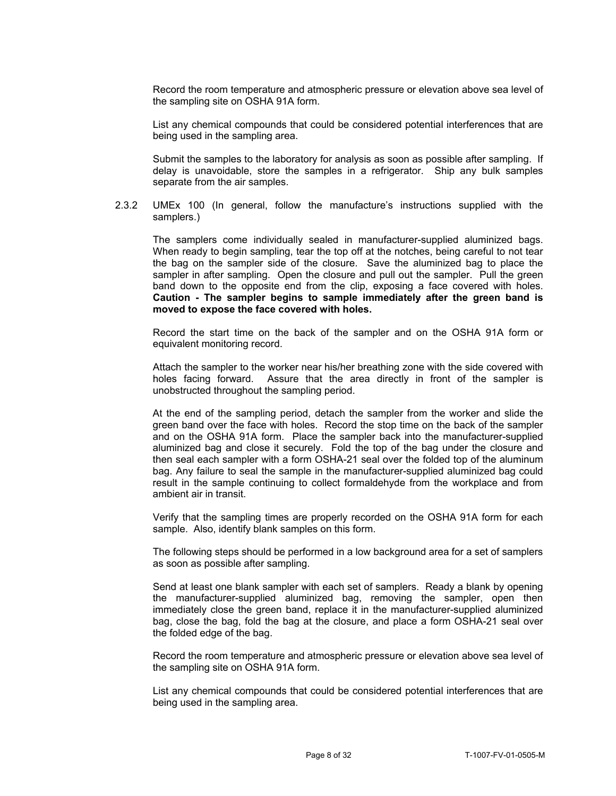Record the room temperature and atmospheric pressure or elevation above sea level of the sampling site on OSHA 91A form.

List any chemical compounds that could be considered potential interferences that are being used in the sampling area.

Submit the samples to the laboratory for analysis as soon as possible after sampling. If delay is unavoidable, store the samples in a refrigerator. Ship any bulk samples separate from the air samples.

2.3.2 UMEx 100 (In general, follow the manufacture's instructions supplied with the samplers.)

 band down to the opposite end from the clip, exposing a face covered with holes. The samplers come individually sealed in manufacturer-supplied aluminized bags. When ready to begin sampling, tear the top off at the notches, being careful to not tear the bag on the sampler side of the closure. Save the aluminized bag to place the sampler in after sampling. Open the closure and pull out the sampler. Pull the green **Caution - The sampler begins to sample immediately after the green band is moved to expose the face covered with holes.** 

Record the start time on the back of the sampler and on the OSHA 91A form or equivalent monitoring record.

Attach the sampler to the worker near his/her breathing zone with the side covered with holes facing forward. Assure that the area directly in front of the sampler is unobstructed throughout the sampling period.

At the end of the sampling period, detach the sampler from the worker and slide the green band over the face with holes. Record the stop time on the back of the sampler and on the OSHA 91A form. Place the sampler back into the manufacturer-supplied aluminized bag and close it securely. Fold the top of the bag under the closure and then seal each sampler with a form OSHA-21 seal over the folded top of the aluminum bag. Any failure to seal the sample in the manufacturer-supplied aluminized bag could result in the sample continuing to collect formaldehyde from the workplace and from ambient air in transit.

Verify that the sampling times are properly recorded on the OSHA 91A form for each sample. Also, identify blank samples on this form.

The following steps should be performed in a low background area for a set of samplers as soon as possible after sampling.

the folded edge of the bag. Send at least one blank sampler with each set of samplers. Ready a blank by opening the manufacturer-supplied aluminized bag, removing the sampler, open then immediately close the green band, replace it in the manufacturer-supplied aluminized bag, close the bag, fold the bag at the closure, and place a form OSHA-21 seal over

Record the room temperature and atmospheric pressure or elevation above sea level of the sampling site on OSHA 91A form.

List any chemical compounds that could be considered potential interferences that are being used in the sampling area.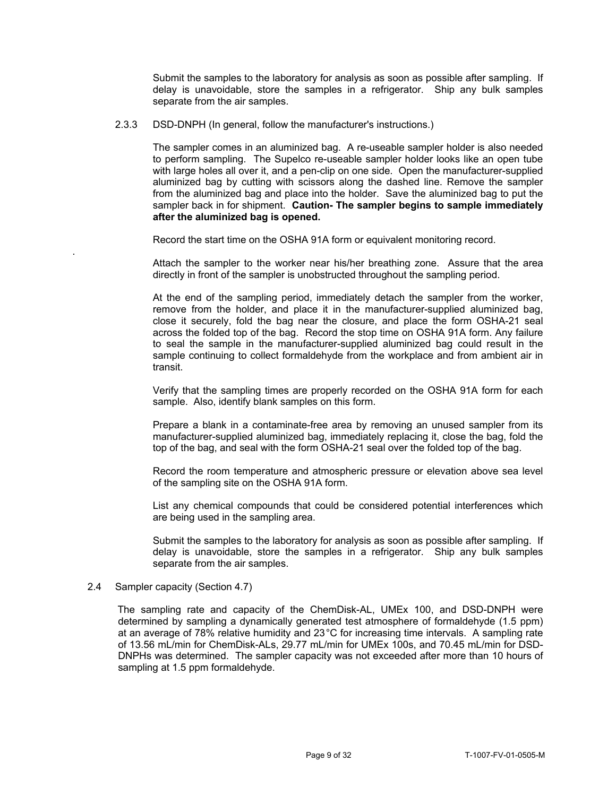Submit the samples to the laboratory for analysis as soon as possible after sampling. If delay is unavoidable, store the samples in a refrigerator. Ship any bulk samples separate from the air samples.

# 2.3.3 DSD-DNPH (In general, follow the manufacturer's instructions.)

 to perform sampling. The Supelco re-useable sampler holder looks like an open tube **after the aluminized bag is opened.** The sampler comes in an aluminized bag. A re-useable sampler holder is also needed with large holes all over it, and a pen-clip on one side. Open the manufacturer-supplied aluminized bag by cutting with scissors along the dashed line. Remove the sampler from the aluminized bag and place into the holder. Save the aluminized bag to put the sampler back in for shipment. **Caution- The sampler begins to sample immediately** 

Record the start time on the OSHA 91A form or equivalent monitoring record.

Attach the sampler to the worker near his/her breathing zone. Assure that the area directly in front of the sampler is unobstructed throughout the sampling period.

At the end of the sampling period, immediately detach the sampler from the worker, remove from the holder, and place it in the manufacturer-supplied aluminized bag, close it securely, fold the bag near the closure, and place the form OSHA-21 seal across the folded top of the bag. Record the stop time on OSHA 91A form. Any failure to seal the sample in the manufacturer-supplied aluminized bag could result in the sample continuing to collect formaldehyde from the workplace and from ambient air in transit.

Verify that the sampling times are properly recorded on the OSHA 91A form for each sample. Also, identify blank samples on this form.

Prepare a blank in a contaminate-free area by removing an unused sampler from its manufacturer-supplied aluminized bag, immediately replacing it, close the bag, fold the top of the bag, and seal with the form OSHA-21 seal over the folded top of the bag.

Record the room temperature and atmospheric pressure or elevation above sea level of the sampling site on the OSHA 91A form.

List any chemical compounds that could be considered potential interferences which are being used in the sampling area.

separate from the air samples. Submit the samples to the laboratory for analysis as soon as possible after sampling. If delay is unavoidable, store the samples in a refrigerator. Ship any bulk samples

# 2.4 Sampler capacity (Section 4.7)

.

The sampling rate and capacity of the ChemDisk-AL, UMEx 100, and DSD-DNPH were determined by sampling a dynamically generated test atmosphere of formaldehyde (1.5 ppm) at an average of 78% relative humidity and 23°C for increasing time intervals. A sampling rate of 13.56 mL/min for ChemDisk-ALs, 29.77 mL/min for UMEx 100s, and 70.45 mL/min for DSD-DNPHs was determined. The sampler capacity was not exceeded after more than 10 hours of sampling at 1.5 ppm formaldehyde.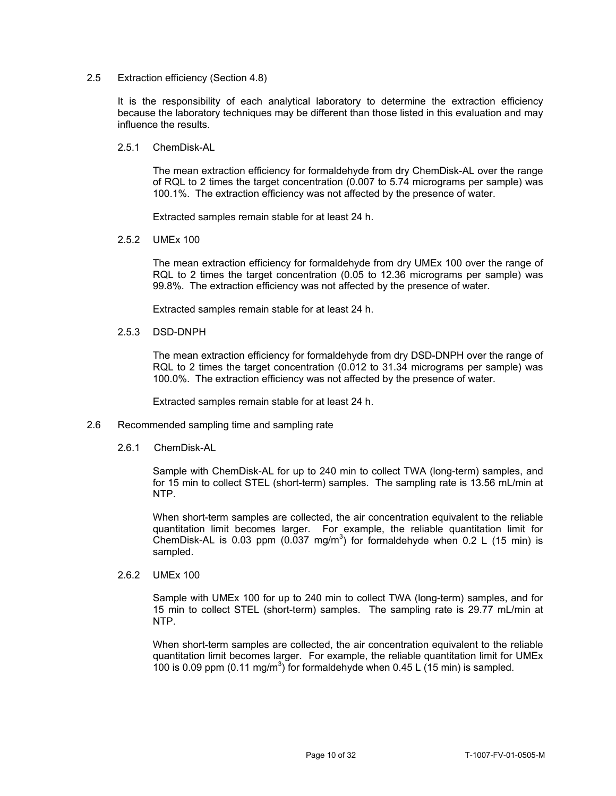# 2.5 Extraction efficiency (Section 4.8)

It is the responsibility of each analytical laboratory to determine the extraction efficiency because the laboratory techniques may be different than those listed in this evaluation and may influence the results.

2.5.1 ChemDisk-AL

The mean extraction efficiency for formaldehyde from dry ChemDisk-AL over the range of RQL to 2 times the target concentration (0.007 to 5.74 micrograms per sample) was 100.1%. The extraction efficiency was not affected by the presence of water.

Extracted samples remain stable for at least 24 h.

2.5.2 UMEx 100

The mean extraction efficiency for formaldehyde from dry UMEx 100 over the range of RQL to 2 times the target concentration (0.05 to 12.36 micrograms per sample) was 99.8%. The extraction efficiency was not affected by the presence of water.

Extracted samples remain stable for at least 24 h.

2.5.3 DSD-DNPH

The mean extraction efficiency for formaldehyde from dry DSD-DNPH over the range of RQL to 2 times the target concentration (0.012 to 31.34 micrograms per sample) was 100.0%. The extraction efficiency was not affected by the presence of water.

Extracted samples remain stable for at least 24 h.

- 2.6 Recommended sampling time and sampling rate
	- 2.6.1 ChemDisk-AL

 for 15 min to collect STEL (short-term) samples. The sampling rate is 13.56 mL/min at Sample with ChemDisk-AL for up to 240 min to collect TWA (long-term) samples, and NTP.

When short-term samples are collected, the air concentration equivalent to the reliable quantitation limit becomes larger. For example, the reliable quantitation limit for ChemDisk-AL is 0.03 ppm  $(0.037 \text{ mg/m}^3)$  for formaldehyde when 0.2 L (15 min) is sampled.

2.6.2 UMEx 100

Sample with UMEx 100 for up to 240 min to collect TWA (long-term) samples, and for 15 min to collect STEL (short-term) samples. The sampling rate is 29.77 mL/min at NTP.

When short-term samples are collected, the air concentration equivalent to the reliable quantitation limit becomes larger. For example, the reliable quantitation limit for UMEx 100 is 0.09 ppm  $(0.11 \text{ mg/m}^3)$  for formaldehyde when 0.45 L (15 min) is sampled.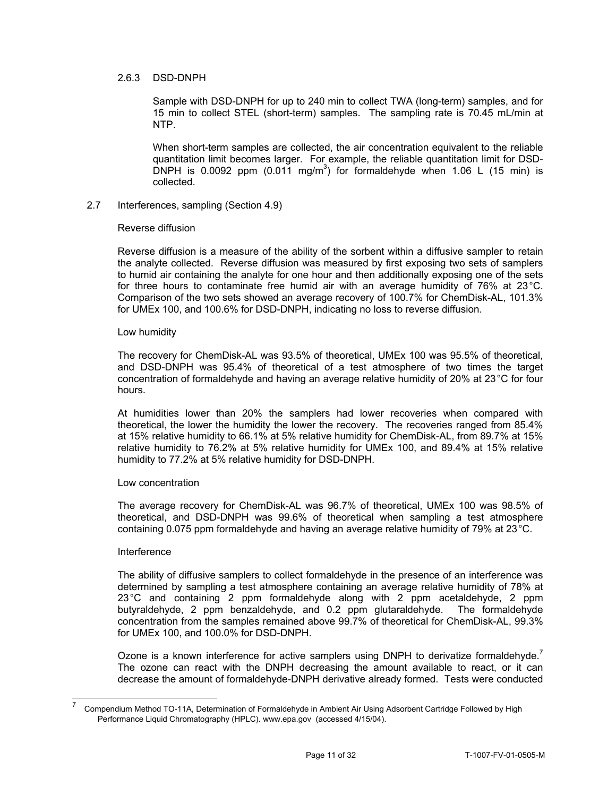# 2.6.3 DSD-DNPH

Sample with DSD-DNPH for up to 240 min to collect TWA (long-term) samples, and for 15 min to collect STEL (short-term) samples. The sampling rate is 70.45 mL/min at NTP.

When short-term samples are collected, the air concentration equivalent to the reliable quantitation limit becomes larger. For example, the reliable quantitation limit for DSD-DNPH is 0.0092 ppm  $(0.011 \text{ mg/m}^3)$  for formaldehyde when 1.06 L (15 min) is collected.

# 2.7 Interferences, sampling (Section 4.9)

# Reverse diffusion

for three hours to contaminate free humid air with an average humidity of 76% at 23 °C. Reverse diffusion is a measure of the ability of the sorbent within a diffusive sampler to retain the analyte collected. Reverse diffusion was measured by first exposing two sets of samplers to humid air containing the analyte for one hour and then additionally exposing one of the sets Comparison of the two sets showed an average recovery of 100.7% for ChemDisk-AL, 101.3% for UMEx 100, and 100.6% for DSD-DNPH, indicating no loss to reverse diffusion.

### Low humidity

The recovery for ChemDisk-AL was 93.5% of theoretical, UMEx 100 was 95.5% of theoretical, and DSD-DNPH was 95.4% of theoretical of a test atmosphere of two times the target concentration of formaldehyde and having an average relative humidity of 20% at 23°C for four hours.

At humidities lower than 20% the samplers had lower recoveries when compared with theoretical, the lower the humidity the lower the recovery. The recoveries ranged from 85.4% at 15% relative humidity to 66.1% at 5% relative humidity for ChemDisk-AL, from 89.7% at 15% relative humidity to 76.2% at 5% relative humidity for UMEx 100, and 89.4% at 15% relative humidity to 77.2% at 5% relative humidity for DSD-DNPH.

# Low concentration

The average recovery for ChemDisk-AL was 96.7% of theoretical, UMEx 100 was 98.5% of theoretical, and DSD-DNPH was 99.6% of theoretical when sampling a test atmosphere containing 0.075 ppm formaldehyde and having an average relative humidity of 79% at 23°C.

# Interference

-

The ability of diffusive samplers to collect formaldehyde in the presence of an interference was determined by sampling a test atmosphere containing an average relative humidity of 78% at 23°C and containing 2 ppm formaldehyde along with 2 ppm acetaldehyde, 2 ppm butyraldehyde, 2 ppm benzaldehyde, and 0.2 ppm glutaraldehyde. The formaldehyde concentration from the samples remained above 99.7% of theoretical for ChemDisk-AL, 99.3% for UMEx 100, and 100.0% for DSD-DNPH.

Ozone is a known interference for active samplers using DNPH to derivatize formaldehyde.<sup>7</sup> The ozone can react with the DNPH decreasing the amount available to react, or it can decrease the amount of formaldehyde-DNPH derivative already formed. Tests were conducted

<sup>7</sup> Compendium Method TO-11A, Determination of Formaldehyde in Ambient Air Using Adsorbent Cartridge Followed by High Performance Liquid Chromatography (HPLC). <www.epa.gov> (accessed 4/15/04).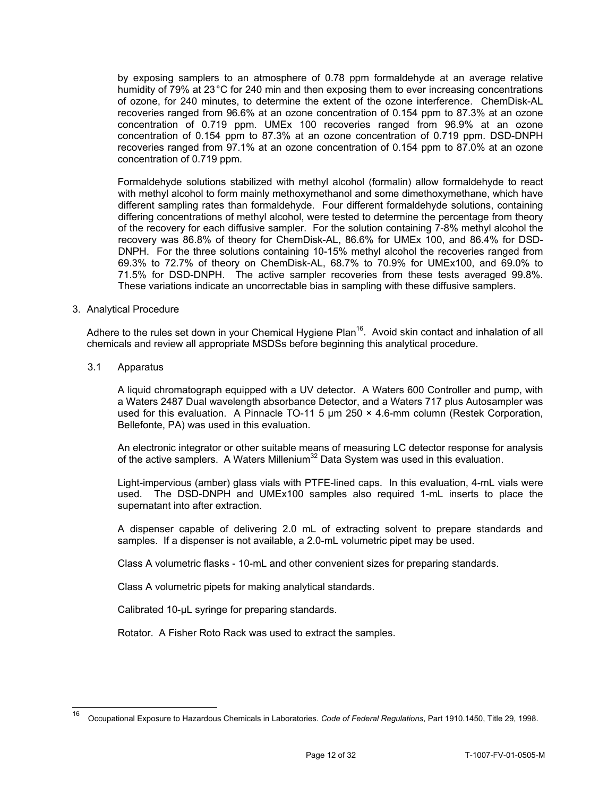by exposing samplers to an atmosphere of 0.78 ppm formaldehyde at an average relative humidity of 79% at 23 °C for 240 min and then exposing them to ever increasing concentrations of ozone, for 240 minutes, to determine the extent of the ozone interference. ChemDisk-AL recoveries ranged from 96.6% at an ozone concentration of 0.154 ppm to 87.3% at an ozone concentration of 0.719 ppm. UMEx 100 recoveries ranged from 96.9% at an ozone concentration of 0.154 ppm to 87.3% at an ozone concentration of 0.719 ppm. DSD-DNPH recoveries ranged from 97.1% at an ozone concentration of 0.154 ppm to 87.0% at an ozone concentration of 0.719 ppm.

Formaldehyde solutions stabilized with methyl alcohol (formalin) allow formaldehyde to react with methyl alcohol to form mainly methoxymethanol and some dimethoxymethane, which have different sampling rates than formaldehyde. Four different formaldehyde solutions, containing differing concentrations of methyl alcohol, were tested to determine the percentage from theory of the recovery for each diffusive sampler. For the solution containing 7-8% methyl alcohol the recovery was 86.8% of theory for ChemDisk-AL, 86.6% for UMEx 100, and 86.4% for DSD-DNPH. For the three solutions containing 10-15% methyl alcohol the recoveries ranged from 69.3% to 72.7% of theory on ChemDisk-AL, 68.7% to 70.9% for UMEx100, and 69.0% to 71.5% for DSD-DNPH. The active sampler recoveries from these tests averaged 99.8%. These variations indicate an uncorrectable bias in sampling with these diffusive samplers.

# 3. Analytical Procedure

Adhere to the rules set down in your Chemical Hygiene Plan<sup>16</sup>. Avoid skin contact and inhalation of all chemicals and review all appropriate MSDSs before beginning this analytical procedure.

3.1 Apparatus

l

A liquid chromatograph equipped with a UV detector. A Waters 600 Controller and pump, with a Waters 2487 Dual wavelength absorbance Detector, and a Waters 717 plus Autosampler was used for this evaluation. A Pinnacle TO-11 5  $\mu$ m 250 × 4.6-mm column (Restek Corporation, Bellefonte, PA) was used in this evaluation.

An electronic integrator or other suitable means of measuring LC detector response for analysis of the active samplers. A Waters Millenium<sup>32</sup> Data System was used in this evaluation.

Light-impervious (amber) glass vials with PTFE-lined caps. In this evaluation, 4-mL vials were used. The DSD-DNPH and UMEx100 samples also required 1-mL inserts to place the supernatant into after extraction.

A dispenser capable of delivering 2.0 mL of extracting solvent to prepare standards and samples. If a dispenser is not available, a 2.0-mL volumetric pipet may be used.

Class A volumetric flasks - 10-mL and other convenient sizes for preparing standards.

Class A volumetric pipets for making analytical standards.

Calibrated 10-µL syringe for preparing standards.

Rotator. A Fisher Roto Rack was used to extract the samples.

<sup>16</sup> Occupational Exposure to Hazardous Chemicals in Laboratories. *Code of Federal Regulations*, Part 1910.1450, Title 29, 1998.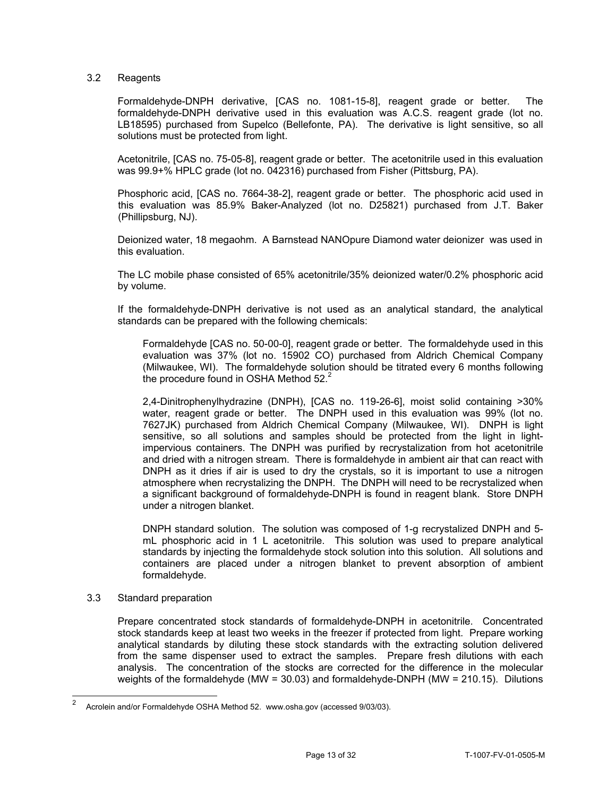# 3.2 Reagents

 Formaldehyde-DNPH derivative, [CAS no. 1081-15-8], reagent grade or better. The formaldehyde-DNPH derivative used in this evaluation was A.C.S. reagent grade (lot no. LB18595) purchased from Supelco (Bellefonte, PA). The derivative is light sensitive, so all solutions must be protected from light.

Acetonitrile, [CAS no. 75-05-8], reagent grade or better. The acetonitrile used in this evaluation was 99.9+% HPLC grade (lot no. 042316) purchased from Fisher (Pittsburg, PA).

Phosphoric acid, [CAS no. 7664-38-2], reagent grade or better. The phosphoric acid used in this evaluation was 85.9% Baker-Analyzed (lot no. D25821) purchased from J.T. Baker (Phillipsburg, NJ).

Deionized water, 18 megaohm. A Barnstead NANOpure Diamond water deionizer was used in this evaluation.

The LC mobile phase consisted of 65% acetonitrile/35% deionized water/0.2% phosphoric acid by volume.

If the formaldehyde-DNPH derivative is not used as an analytical standard, the analytical standards can be prepared with the following chemicals:

Formaldehyde [CAS no. 50-00-0], reagent grade or better. The formaldehyde used in this evaluation was 37% (lot no. 15902 CO) purchased from Aldrich Chemical Company (Milwaukee, WI). The formaldehyde solution should be titrated every 6 months following the procedure found in OSHA Method  $52.<sup>2</sup>$ 

2,4-Dinitrophenylhydrazine (DNPH), [CAS no. 119-26-6], moist solid containing >30% water, reagent grade or better. The DNPH used in this evaluation was 99% (lot no. 7627JK) purchased from Aldrich Chemical Company (Milwaukee, WI). DNPH is light sensitive, so all solutions and samples should be protected from the light in lightimpervious containers. The DNPH was purified by recrystalization from hot acetonitrile and dried with a nitrogen stream. There is formaldehyde in ambient air that can react with DNPH as it dries if air is used to dry the crystals, so it is important to use a nitrogen atmosphere when recrystalizing the DNPH. The DNPH will need to be recrystalized when a significant background of formaldehyde-DNPH is found in reagent blank. Store DNPH under a nitrogen blanket.

DNPH standard solution. The solution was composed of 1-g recrystalized DNPH and 5 mL phosphoric acid in 1 L acetonitrile. This solution was used to prepare analytical standards by injecting the formaldehyde stock solution into this solution. All solutions and containers are placed under a nitrogen blanket to prevent absorption of ambient formaldehyde.

# 3.3 Standard preparation

Prepare concentrated stock standards of formaldehyde-DNPH in acetonitrile. Concentrated stock standards keep at least two weeks in the freezer if protected from light. Prepare working analytical standards by diluting these stock standards with the extracting solution delivered from the same dispenser used to extract the samples. Prepare fresh dilutions with each analysis. The concentration of the stocks are corrected for the difference in the molecular weights of the formaldehyde (MW = 30.03) and formaldehyde-DNPH (MW = 210.15). Dilutions

 $\mathfrak{p}$ Acrolein and/or Formaldehyde OSHA Method 52. <www.osha.gov> (accessed 9/03/03).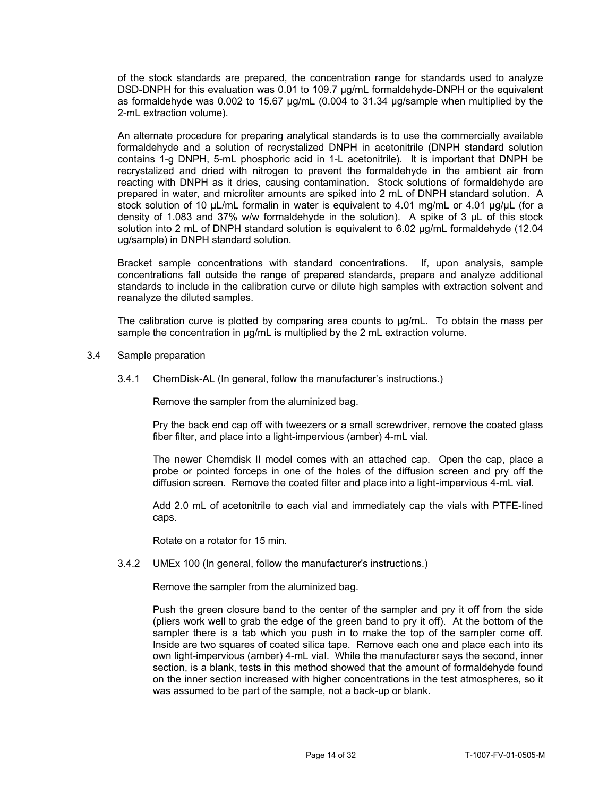of the stock standards are prepared, the concentration range for standards used to analyze DSD-DNPH for this evaluation was 0.01 to 109.7 ug/mL formaldehyde-DNPH or the equivalent as formaldehyde was 0.002 to 15.67 µg/mL (0.004 to 31.34 µg/sample when multiplied by the 2-mL extraction volume).

An alternate procedure for preparing analytical standards is to use the commercially available formaldehyde and a solution of recrystalized DNPH in acetonitrile (DNPH standard solution contains 1-g DNPH, 5-mL phosphoric acid in 1-L acetonitrile). It is important that DNPH be recrystalized and dried with nitrogen to prevent the formaldehyde in the ambient air from reacting with DNPH as it dries, causing contamination. Stock solutions of formaldehyde are prepared in water, and microliter amounts are spiked into 2 mL of DNPH standard solution. A stock solution of 10 µL/mL formalin in water is equivalent to 4.01 mg/mL or 4.01 µg/µL (for a density of 1.083 and 37% w/w formaldehyde in the solution). A spike of 3 µL of this stock solution into 2 mL of DNPH standard solution is equivalent to 6.02 ug/mL formaldehyde (12.04 ug/sample) in DNPH standard solution.

Bracket sample concentrations with standard concentrations. If, upon analysis, sample concentrations fall outside the range of prepared standards, prepare and analyze additional standards to include in the calibration curve or dilute high samples with extraction solvent and reanalyze the diluted samples.

The calibration curve is plotted by comparing area counts to µg/mL. To obtain the mass per sample the concentration in  $\mu$ g/mL is multiplied by the 2 mL extraction volume.

### 3.4 Sample preparation

3.4.1 ChemDisk-AL (In general, follow the manufacturer's instructions.)

Remove the sampler from the aluminized bag.

Pry the back end cap off with tweezers or a small screwdriver, remove the coated glass fiber filter, and place into a light-impervious (amber) 4-mL vial.

The newer Chemdisk II model comes with an attached cap. Open the cap, place a probe or pointed forceps in one of the holes of the diffusion screen and pry off the diffusion screen. Remove the coated filter and place into a light-impervious 4-mL vial.

Add 2.0 mL of acetonitrile to each vial and immediately cap the vials with PTFE-lined caps.

Rotate on a rotator for 15 min.

#### 3.4.2 UMEx 100 (In general, follow the manufacturer's instructions.)

Remove the sampler from the aluminized bag.

Push the green closure band to the center of the sampler and pry it off from the side (pliers work well to grab the edge of the green band to pry it off). At the bottom of the sampler there is a tab which you push in to make the top of the sampler come off. Inside are two squares of coated silica tape. Remove each one and place each into its own light-impervious (amber) 4-mL vial. While the manufacturer says the second, inner section, is a blank, tests in this method showed that the amount of formaldehyde found on the inner section increased with higher concentrations in the test atmospheres, so it was assumed to be part of the sample, not a back-up or blank.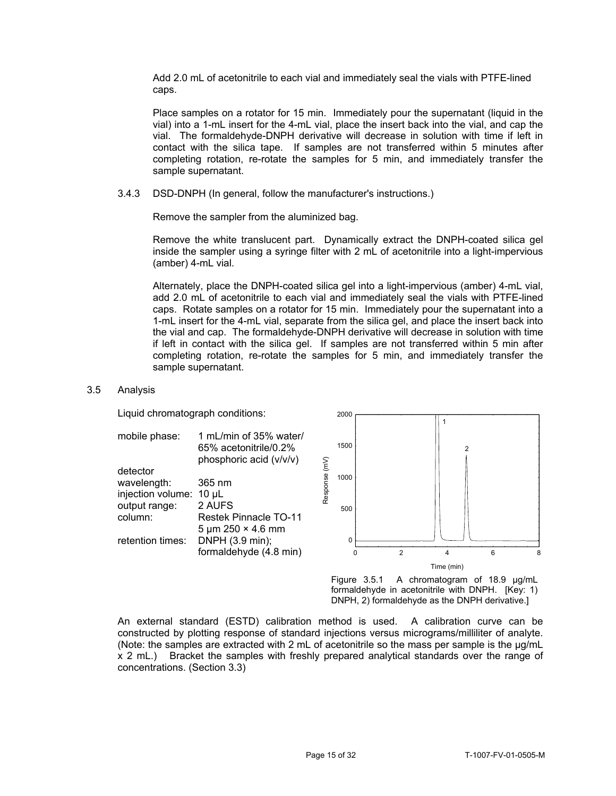Add 2.0 mL of acetonitrile to each vial and immediately seal the vials with PTFE-lined caps.

Place samples on a rotator for 15 min. Immediately pour the supernatant (liquid in the vial) into a 1-mL insert for the 4-mL vial, place the insert back into the vial, and cap the vial. The formaldehyde-DNPH derivative will decrease in solution with time if left in contact with the silica tape. If samples are not transferred within 5 minutes after completing rotation, re-rotate the samples for 5 min, and immediately transfer the sample supernatant.

3.4.3 DSD-DNPH (In general, follow the manufacturer's instructions.) Remove the sampler from the aluminized bag.

Remove the white translucent part. Dynamically extract the DNPH-coated silica gel inside the sampler using a syringe filter with 2 mL of acetonitrile into a light-impervious (amber) 4-mL vial.

Alternately, place the DNPH-coated silica gel into a light-impervious (amber) 4-mL vial, add 2.0 mL of acetonitrile to each vial and immediately seal the vials with PTFE-lined caps. Rotate samples on a rotator for 15 min. Immediately pour the supernatant into a 1-mL insert for the 4-mL vial, separate from the silica gel, and place the insert back into the vial and cap. The formaldehyde-DNPH derivative will decrease in solution with time if left in contact with the silica gel. If samples are not transferred within 5 min after completing rotation, re-rotate the samples for 5 min, and immediately transfer the sample supernatant.

# 3.5 Analysis

Liquid chromatograph conditions: 2000



Figure 3.5.1 A chromatogram of 18.9 µg/mL formaldehyde in acetonitrile with DNPH. [Key: 1) DNPH, 2) formaldehyde as the DNPH derivative.]

An external standard (ESTD) calibration method is used. A calibration curve can be constructed by plotting response of standard injections versus micrograms/milliliter of analyte. (Note: the samples are extracted with 2 mL of acetonitrile so the mass per sample is the  $\mu q/mL$ x 2 mL.) Bracket the samples with freshly prepared analytical standards over the range of concentrations. (Section 3.3)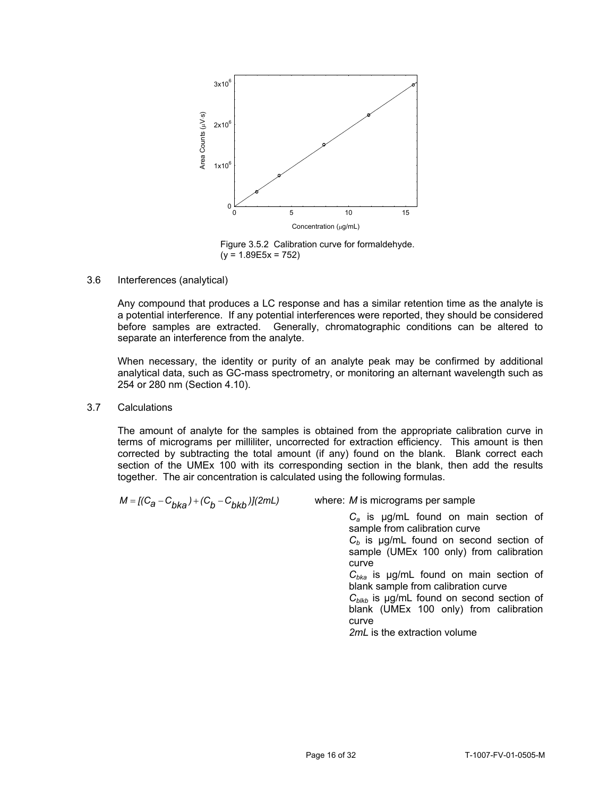

Figure 3.5.2 Calibration curve for formaldehyde.  $(y = 1.89E5x = 752)$ 

### 3.6 Interferences (analytical)

Any compound that produces a LC response and has a similar retention time as the analyte is a potential interference. If any potential interferences were reported, they should be considered before samples are extracted. Generally, chromatographic conditions can be altered to separate an interference from the analyte.

 analytical data, such as GC-mass spectrometry, or monitoring an alternant wavelength such as When necessary, the identity or purity of an analyte peak may be confirmed by additional 254 or 280 nm (Section 4.10).

# 3.7 Calculations

The amount of analyte for the samples is obtained from the appropriate calibration curve in terms of micrograms per milliliter, uncorrected for extraction efficiency. This amount is then corrected by subtracting the total amount (if any) found on the blank. Blank correct each section of the UMEx 100 with its corresponding section in the blank, then add the results together. The air concentration is calculated using the following formulas.

$$
M = [(C_{a} - C_{bka}) + (C_{b} - C_{bkb})](2mL)
$$

*M* is micrograms per sample *where: M* is micrograms per sample

*Ca* is µg/mL found on main section of sample from calibration curve  $C_b$  is  $\mu$ g/mL found on second section of sample (UMEx 100 only) from calibration curve *Cbka* is µg/mL found on main section of blank sample from calibration curve *C<sub>blkb</sub>* is µg/mL found on second section of blank (UMEx 100 only) from calibration curve

*2mL* is the extraction volume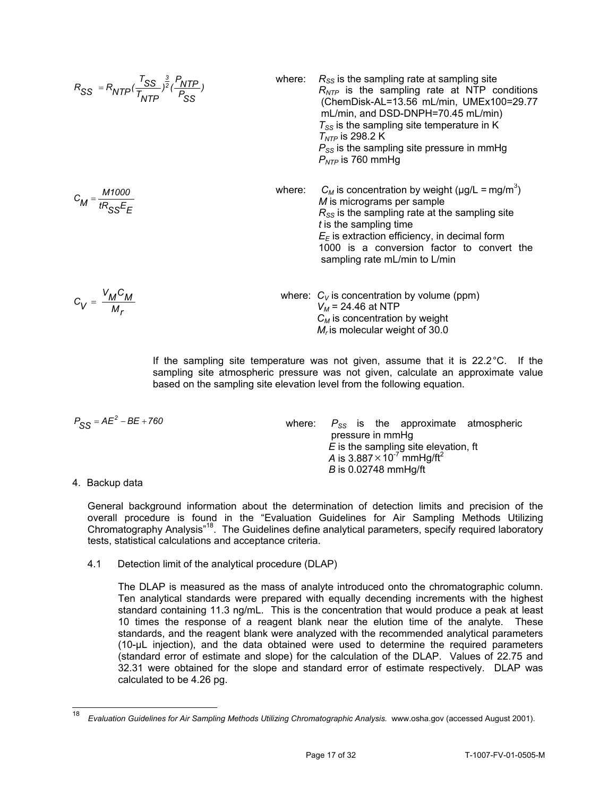$$
R_{SS} = R_{NTP}(\frac{T_{SS}}{T_{NTP}})^{\frac{3}{2}}(\frac{P_{NTP}}{P_{SS}})
$$

$$
C_M = \frac{M1000}{tR_{SS}E_F}
$$

$$
C_V = \frac{V_M C_M}{M_r}
$$

mL/min, and DSD-DNPH=70.45 mL/min)  
\n
$$
T_{SS}
$$
 is the sampling site temperature in K  
\n $T_{NTP}$  is 298.2 K  
\n $P_{SS}$  is the sampling site pressure in mmHg  
\n $P_{NTP}$  is 760 mmHg  
\nwhere:  
\n $C_M$  is concentration by weight (µg/L = mg/m<sup>3</sup>)  
\n*M* is micrograms per sample  
\n $R_{SS}$  is the sampling rate at the sampling site  
\nt is the sampling time  
\n $E_E$  is extraction efficiency, in decimal form  
\n1000 is a conversion factor to convert the  
\nsampling rate mL/min to L/min

where:  $R_{SS}$  is the sampling rate at sampling site

*R<sub>NTP</sub>* is the sampling rate at NTP conditions (ChemDisk-AL=13.56 mL/min, UMEx100=29.77

*VM* = 24.46 at NTP<br>*V<sub>M</sub>* = 24.46 at NTP<br>*C<sub>M</sub>* is concentration by weight *M<sub>r</sub>* is molecular weight of 30.0

If the sampling site temperature was not given, assume that it is 22.2°C. If the sampling site atmospheric pressure was not given, calculate an approximate value based on the sampling site elevation level from the following equation.

| $P_{SS} = AE^2 - BE + 760$ |  |
|----------------------------|--|
|----------------------------|--|

*P*<sub>SS</sub> = *AE*<sup>2</sup> − *BE* + 760 **SEC S** *S*<sub>S</sub> *S P*<sub>SS</sub> is the approximate atmospheric pressure in mmHg *E* is the sampling site elevation, ft *A* is  $3.887 \times 10^{-7}$  mmHg/ft<sup>2</sup> *B* is 0.02748 mmHg/ft

# 4. Backup data

-

General background information about the determination of detection limits and precision of the overall procedure is found in the "Evaluation Guidelines for Air Sampling Methods Utilizing Chromatography Analysis"<sup>18</sup>. The Guidelines define analytical parameters, specify required laboratory tests, statistical calculations and acceptance criteria.

# Detection limit of the analytical procedure (DLAP)

4.1 Detection limit of the analytical procedure (DLAP) The DLAP is measured as the mass of analyte introduced onto the chromatographic column. Ten analytical standards were prepared with equally decending increments with the highest standard containing 11.3 ng/mL. This is the concentration that would produce a peak at least 10 times the response of a reagent blank near the elution time of the analyte. These standards, and the reagent blank were analyzed with the recommended analytical parameters (10-µL injection), and the data obtained were used to determine the required parameters (standard error of estimate and slope) for the calculation of the DLAP. Values of 22.75 and 32.31 were obtained for the slope and standard error of estimate respectively. DLAP was calculated to be 4.26 pg.

<sup>18</sup>*Evaluation Guidelines for Air Sampling Methods Utilizing Chromatographic Analysis.* <www.osha.gov> (accessed August 2001).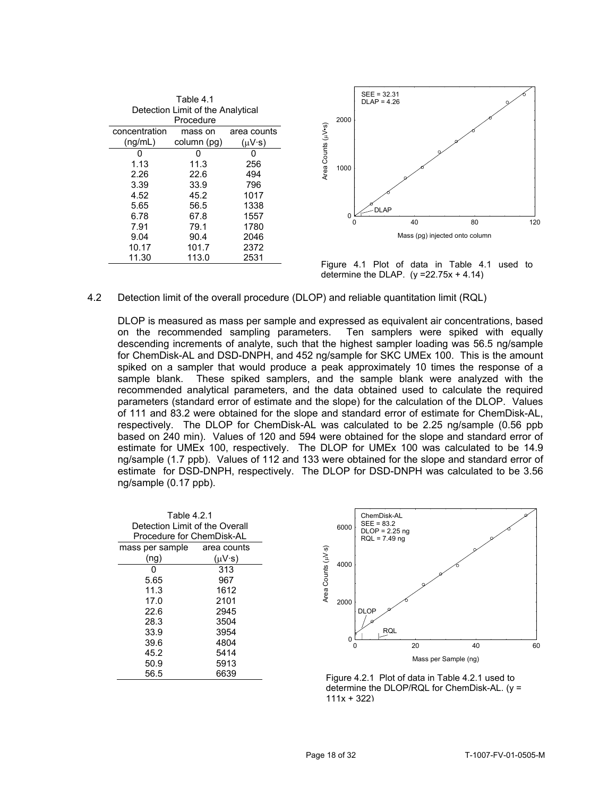|                                   |               | Table 4.1   |                   |                    |          |
|-----------------------------------|---------------|-------------|-------------------|--------------------|----------|
| Detection Limit of the Analytical |               |             |                   |                    |          |
|                                   |               | Procedure   |                   |                    | 2000     |
|                                   | concentration | mass on     | area counts       |                    |          |
|                                   | (nq/mL)       | column (pg) | $(\mu V \cdot s)$ | Area Counts (µV•s) |          |
|                                   |               |             | O                 |                    |          |
|                                   | 1.13          | 11.3        | 256               |                    | 1000     |
|                                   | 2.26          | 22.6        | 494               |                    |          |
|                                   | 3.39          | 33.9        | 796               |                    |          |
|                                   | 4.52          | 45.2        | 1017              |                    |          |
|                                   | 5.65          | 56.5        | 1338              |                    |          |
|                                   | 6.78          | 67.8        | 1557              |                    | $\Omega$ |
|                                   | 7.91          | 79.1        | 1780              |                    |          |
|                                   | 9.04          | 90.4        | 2046              |                    |          |
|                                   | 10.17         | 101.7       | 2372              |                    |          |
|                                   | 11.30         | 113.0       | 2531              |                    |          |



Figure 4.1 Plot of data in Table 4.1 used to determine the DLAP.  $(y = 22.75x + 4.14)$ 

# 4.2 Detection limit of the overall procedure (DLOP) and reliable quantitation limit (RQL)

 sample blank. These spiked samplers, and the sample blank were analyzed with the DLOP is measured as mass per sample and expressed as equivalent air concentrations, based on the recommended sampling parameters. Ten samplers were spiked with equally descending increments of analyte, such that the highest sampler loading was 56.5 ng/sample for ChemDisk-AL and DSD-DNPH, and 452 ng/sample for SKC UMEx 100. This is the amount spiked on a sampler that would produce a peak approximately 10 times the response of a recommended analytical parameters, and the data obtained used to calculate the required parameters (standard error of estimate and the slope) for the calculation of the DLOP. Values of 111 and 83.2 were obtained for the slope and standard error of estimate for ChemDisk-AL, respectively. The DLOP for ChemDisk-AL was calculated to be 2.25 ng/sample (0.56 ppb based on 240 min). Values of 120 and 594 were obtained for the slope and standard error of estimate for UMEx 100, respectively. The DLOP for UMEx 100 was calculated to be 14.9 ng/sample (1.7 ppb). Values of 112 and 133 were obtained for the slope and standard error of estimate for DSD-DNPH, respectively. The DLOP for DSD-DNPH was calculated to be 3.56 ng/sample (0.17 ppb).

| Table 4.2.1<br>Detection Limit of the Overall<br>Procedure for ChemDisk-AL |               |                    | 6000   |
|----------------------------------------------------------------------------|---------------|--------------------|--------|
| mass per sample area counts                                                |               |                    |        |
| (ng)                                                                       | $(uV\cdot s)$ |                    |        |
|                                                                            | 313           | Area Counts (µV-s) | 4000   |
| 5.65                                                                       | 967           |                    |        |
| 11.3                                                                       | 1612          |                    |        |
| 17.0                                                                       | 2101          |                    | 2000   |
| 22.6                                                                       | 2945          |                    |        |
| 28.3                                                                       | 3504          |                    |        |
| 33.9                                                                       | 3954          |                    |        |
| 39.6                                                                       | 4804          |                    |        |
| 45.2                                                                       | 5414          |                    |        |
| 50.9                                                                       | 5913          |                    |        |
| 56.5                                                                       | 6639          |                    | Figure |



Figure 4.2.1 Plot of data in Table 4.2.1 used to determine the DLOP/RQL for ChemDisk-AL. (y =  $111x + 322$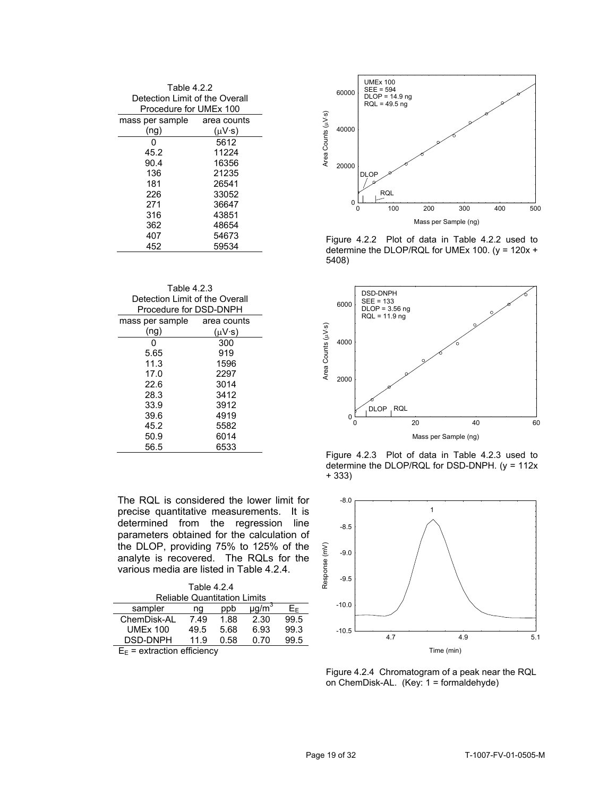| Table 4.2.2<br>Detection Limit of the Overall<br>Procedure for UMEx 100 |               |                            | 60000   |
|-------------------------------------------------------------------------|---------------|----------------------------|---------|
| mass per sample area counts                                             |               | Counts ( <sub>H</sub> V-s) |         |
| (ng)                                                                    | $(uV\cdot s)$ |                            | 40000   |
| O                                                                       | 5612          |                            |         |
| 45.2                                                                    | 11224         |                            |         |
| 90.4                                                                    | 16356         | Area                       | 20000   |
| 136                                                                     | 21235         |                            |         |
| 181                                                                     | 26541         |                            |         |
| 226                                                                     | 33052         |                            |         |
| 271                                                                     | 36647         |                            |         |
| 316                                                                     | 43851         |                            |         |
| 362                                                                     | 48654         |                            |         |
| 407                                                                     | 54673         |                            | Figure  |
| 452                                                                     | 59534         |                            | dotormi |

| Table 4.2.3                    |      |
|--------------------------------|------|
| Detection Limit of the Overall | 6000 |
| Procedure for DSD-DNPH         |      |

| mass per sample | area counts       |
|-----------------|-------------------|
| (ng)            | $(\mu V \cdot s)$ |
| 0               | 300               |
| 5.65            | 919               |
| 11.3            | 1596              |
| 17.0            | 2297              |
| 22.6            | 3014              |
| 28.3            | 3412              |
| 33.9            | 3912              |
| 39.6            | 4919              |
| 45.2            | 5582              |
| 50.9            | 6014              |
| 56.5            | 6533              |

The RQL is considered the lower limit for -8.0 precise quantitative measurements. It is  $\frac{1}{1}$  1 determined from the regression line  $_{-8.5}$ parameters obtained for the calculation of the DLOP, providing 75% to 125% of the analyte is recovered. The RQLs for the various media are listed in Table 4.2.4.

|                                                                                                                 | ൙    |      |                      |      |  |         |
|-----------------------------------------------------------------------------------------------------------------|------|------|----------------------|------|--|---------|
| <b>Reliable Quantitation Limits</b>                                                                             |      |      |                      |      |  |         |
| sampler                                                                                                         | nq   | ppb  | $\mu$ q/m $\dot{\ }$ | E⊧   |  | $-10.0$ |
| ChemDisk-AL                                                                                                     | 7.49 | 1.88 | 2.30                 | 99.5 |  |         |
| <b>UMEx 100</b>                                                                                                 | 49.5 | 5.68 | 6.93                 | 99.3 |  | $-10.5$ |
| DSD-DNPH                                                                                                        | 11.9 | 0.58 | 0.70                 | 99.5 |  |         |
| the contract of the contract of the contract of the contract of the contract of the contract of the contract of |      |      |                      |      |  |         |



determine the DLOP/RQL for UMEx 100. ( $y = 120x +$ Figure 4.2.2 Plot of data in Table 4.2.2 used to 5408)



Figure 4.2.3 Plot of data in Table 4.2.3 used to determine the DLOP/RQL for DSD-DNPH. (y = 112x + 333)



Figure 4.2.4 Chromatogram of a peak near the RQL on ChemDisk-AL. (Key: 1 = formaldehyde)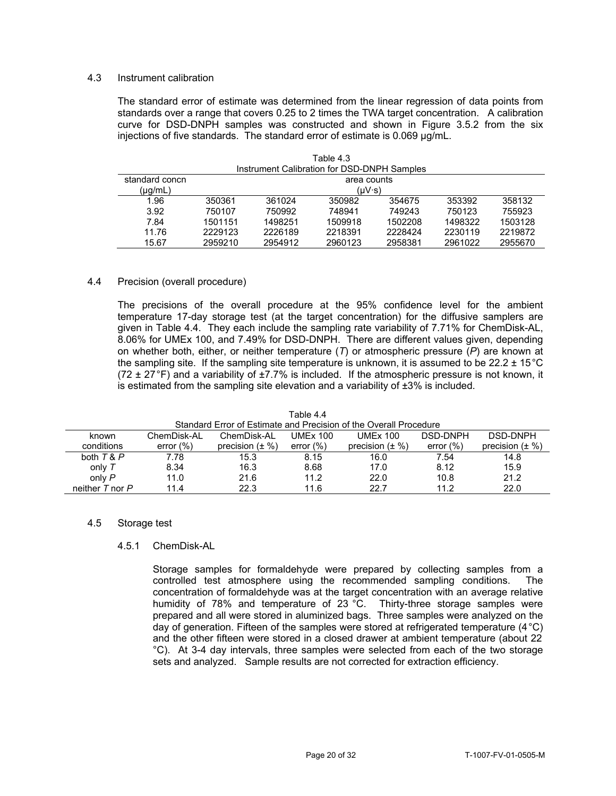# 4.3 Instrument calibration

The standard error of estimate was determined from the linear regression of data points from standards over a range that covers 0.25 to 2 times the TWA target concentration. A calibration curve for DSD-DNPH samples was constructed and shown in Figure 3.5.2 from the six injections of five standards. The standard error of estimate is 0.069 µg/mL.

 $T_{\text{S}}$ 

| rable 4.3<br>Instrument Calibration for DSD-DNPH Samples |         |             |         |         |         |         |  |  |  |
|----------------------------------------------------------|---------|-------------|---------|---------|---------|---------|--|--|--|
| standard concn                                           |         | area counts |         |         |         |         |  |  |  |
| (µg/mL)                                                  |         | (UV·s)      |         |         |         |         |  |  |  |
| 1.96                                                     | 350361  | 361024      | 350982  | 354675  | 353392  | 358132  |  |  |  |
| 3.92                                                     | 750107  | 750992      | 748941  | 749243  | 750123  | 755923  |  |  |  |
| 7.84                                                     | 1501151 | 1498251     | 1509918 | 1502208 | 1498322 | 1503128 |  |  |  |
| 11.76                                                    | 2229123 | 2226189     | 2218391 | 2228424 | 2230119 | 2219872 |  |  |  |
| 15.67                                                    | 2959210 | 2954912     | 2960123 | 2958381 | 2961022 | 2955670 |  |  |  |

### 4.4 Precision (overall procedure)

 8.06% for UMEx 100, and 7.49% for DSD-DNPH. There are different values given, depending The precisions of the overall procedure at the 95% confidence level for the ambient temperature 17-day storage test (at the target concentration) for the diffusive samplers are given in Table 4.4. They each include the sampling rate variability of 7.71% for ChemDisk-AL, on whether both, either, or neither temperature (*T*) or atmospheric pressure (*P*) are known at the sampling site. If the sampling site temperature is unknown, it is assumed to be  $22.2 \pm 15^{\circ}$ C  $(72 \pm 27)$ °F) and a variability of  $\pm 7.7$ % is included. If the atmospheric pressure is not known, it is estimated from the sampling site elevation and a variability of  $\pm 3\%$  is included.

|                     |                                                                   |                      | Table 4.4       |                      |              |                      |  |  |  |  |
|---------------------|-------------------------------------------------------------------|----------------------|-----------------|----------------------|--------------|----------------------|--|--|--|--|
|                     | Standard Error of Estimate and Precision of the Overall Procedure |                      |                 |                      |              |                      |  |  |  |  |
| known               | ChemDisk-AL                                                       | ChemDisk-AL          | <b>UMEx 100</b> | <b>UMEx 100</b>      | DSD-DNPH     | DSD-DNPH             |  |  |  |  |
| conditions          | error $(\% )$                                                     | precision $(\pm \%)$ | error $(\% )$   | precision $(\pm \%)$ | error $(\%)$ | precision $(\pm \%)$ |  |  |  |  |
| both $T & P$        | 7.78                                                              | 15.3                 | 8.15            | 16.0                 | 7.54         | 14.8                 |  |  |  |  |
| only $T$            | 8.34                                                              | 16.3                 | 8.68            | 17.0                 | 8.12         | 15.9                 |  |  |  |  |
| only P              | 11.0                                                              | 21.6                 | 11.2            | 22.0                 | 10.8         | 21.2                 |  |  |  |  |
| neither $T$ nor $P$ | 114                                                               | 22.3                 | 11.6            | 22.7                 | 11.2         | 22.0                 |  |  |  |  |

# Table 4.4

#### 4.5 Storage test

#### 4.5.1 ChemDisk-AL

Storage samples for formaldehyde were prepared by collecting samples from a controlled test atmosphere using the recommended sampling conditions. The concentration of formaldehyde was at the target concentration with an average relative humidity of 78% and temperature of 23 °C. Thirty-three storage samples were prepared and all were stored in aluminized bags. Three samples were analyzed on the day of generation. Fifteen of the samples were stored at refrigerated temperature  $(4^{\circ}C)$ and the other fifteen were stored in a closed drawer at ambient temperature (about 22 °C). At 3-4 day intervals, three samples were selected from each of the two storage sets and analyzed. Sample results are not corrected for extraction efficiency.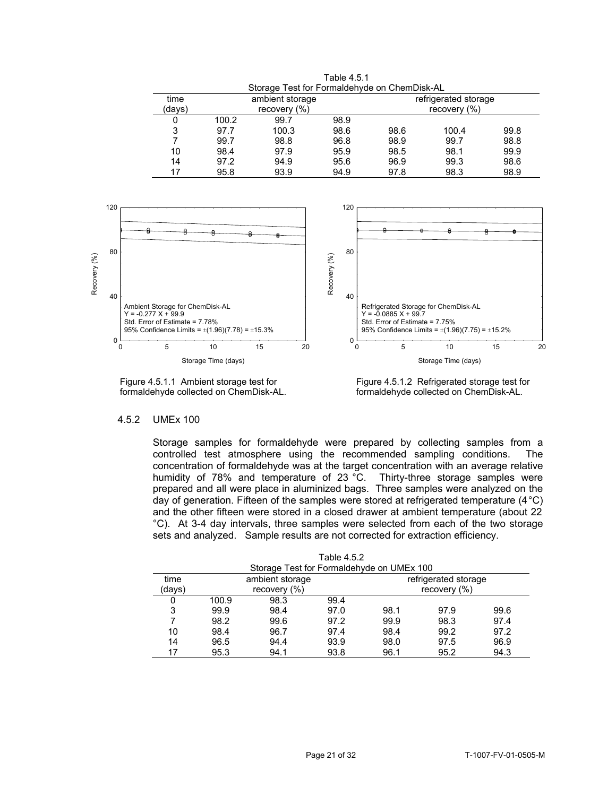|        |              | Storage Test for Formaldehyde on ChemDisk-AL |      |                |                      |      |  |  |  |
|--------|--------------|----------------------------------------------|------|----------------|----------------------|------|--|--|--|
| time   |              | ambient storage                              |      |                | refrigerated storage |      |  |  |  |
| (days) | recovery (%) |                                              |      | recovery $(%)$ |                      |      |  |  |  |
| 0      | 100.2        | 99.7                                         | 98.9 |                |                      |      |  |  |  |
| 3      | 97.7         | 100.3                                        | 98.6 | 98.6           | 100.4                | 99.8 |  |  |  |
|        | 99.7         | 98.8                                         | 96.8 | 98.9           | 99.7                 | 98.8 |  |  |  |
| 10     | 98.4         | 97.9                                         | 95.9 | 98.5           | 98.1                 | 99.9 |  |  |  |
| 14     | 97.2         | 94.9                                         | 95.6 | 96.9           | 99.3                 | 98.6 |  |  |  |
| 17     | 95.8         | 93.9                                         | 94.9 | 97.8           | 98.3                 | 98.9 |  |  |  |

Table 4.5.1



Figure 4.5.1.1 Ambient storage test for Figure 4.5.1.2 Refrigerated storage test for Formaldehyde collected on ChemDisk-AL. formaldehyde collected on ChemDisk-AL.

# 4.5.2 UMEx 100

Storage samples for formaldehyde were prepared by collecting samples from a controlled test atmosphere using the recommended sampling conditions. The concentration of formaldehyde was at the target concentration with an average relative humidity of 78% and temperature of 23 °C. Thirty-three storage samples were prepared and all were place in aluminized bags. Three samples were analyzed on the day of generation. Fifteen of the samples were stored at refrigerated temperature (4°C) and the other fifteen were stored in a closed drawer at ambient temperature (about 22 °C). At 3-4 day intervals, three samples were selected from each of the two storage sets and analyzed. Sample results are not corrected for extraction efficiency.

|        | Storage Test for Formaldehyde on UMEx 100 |                  |      |                  |                      |      |  |  |  |  |
|--------|-------------------------------------------|------------------|------|------------------|----------------------|------|--|--|--|--|
| time   |                                           | ambient storage  |      |                  | refrigerated storage |      |  |  |  |  |
| (davs) |                                           | recovery $(\% )$ |      | recovery $(\% )$ |                      |      |  |  |  |  |
|        | 100.9                                     | 98.3             | 99.4 |                  |                      |      |  |  |  |  |
| 3      | 99.9                                      | 98.4             | 97.0 | 98.1             | 97.9                 | 99.6 |  |  |  |  |
|        | 98.2                                      | 99.6             | 97.2 | 99.9             | 98.3                 | 97.4 |  |  |  |  |
| 10     | 98.4                                      | 96.7             | 97.4 | 98.4             | 99.2                 | 97.2 |  |  |  |  |
| 14     | 96.5                                      | 94.4             | 93.9 | 98.0             | 97.5                 | 96.9 |  |  |  |  |
| 17     | 95.3                                      | 94.1             | 93.8 | 96.1             | 95.2                 | 94.3 |  |  |  |  |

Table 4.5.2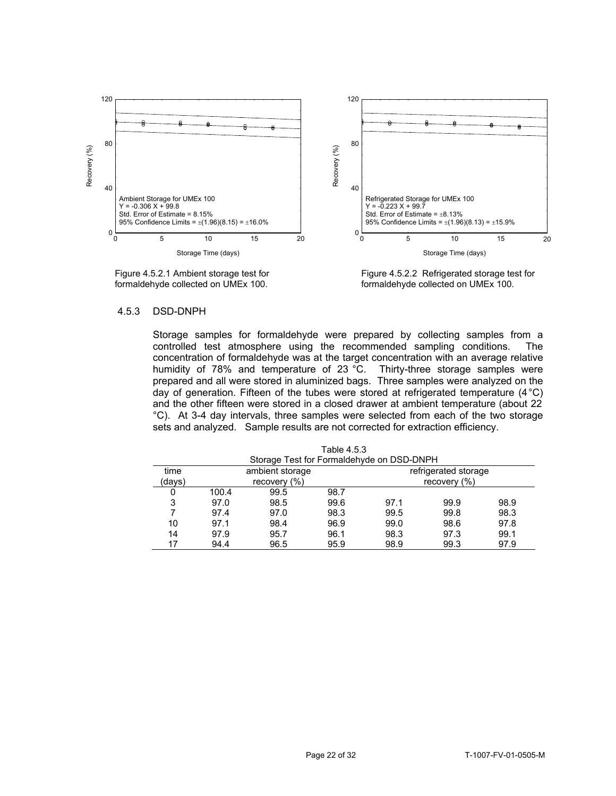

Figure 4.5.2.1 Ambient storage test for Figure 4.5.2.2 Refrigerated storage test for formaldehyde collected on UMEx 100. formaldehyde collected on UMEx 100.

#### 4.5.3 DSD-DNPH

Storage samples for formaldehyde were prepared by collecting samples from a controlled test atmosphere using the recommended sampling conditions. The controlled test atmosphere using the recommended sampling conditions. concentration of formaldehyde was at the target concentration with an average relative humidity of 78% and temperature of 23 °C. Thirty-three storage samples were prepared and all were stored in aluminized bags. Three samples were analyzed on the day of generation. Fifteen of the tubes were stored at refrigerated temperature (4°C) and the other fifteen were stored in a closed drawer at ambient temperature (about 22 °C). At 3-4 day intervals, three samples were selected from each of the two storage sets and analyzed. Sample results are not corrected for extraction efficiency.

|        | Storage Test for Formaldehyde on DSD-DNPH |                  |      |      |                      |      |  |  |  |
|--------|-------------------------------------------|------------------|------|------|----------------------|------|--|--|--|
| time   |                                           | ambient storage  |      |      | refrigerated storage |      |  |  |  |
| (davs) |                                           | recovery $(\% )$ |      |      | recovery $(\%)$      |      |  |  |  |
| 0      | 100.4                                     | 99.5             | 98.7 |      |                      |      |  |  |  |
| 3      | 97.0                                      | 98.5             | 99.6 | 97.1 | 99.9                 | 98.9 |  |  |  |
|        | 97.4                                      | 97.0             | 98.3 | 99.5 | 99.8                 | 98.3 |  |  |  |
| 10     | 97.1                                      | 98.4             | 96.9 | 99.0 | 98.6                 | 97.8 |  |  |  |
| 14     | 97.9                                      | 95.7             | 96.1 | 98.3 | 97.3                 | 99.1 |  |  |  |
| 17     | 94.4                                      | 96.5             | 95.9 | 98.9 | 99.3                 | 97.9 |  |  |  |

Table 4.5.3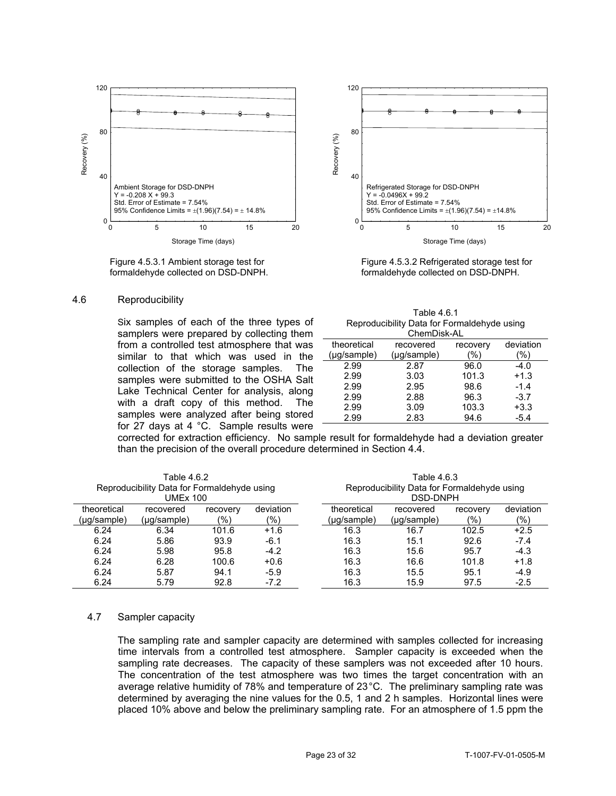

formaldehyde collected on DSD-DNPH. formaldehyde collected on DSD-DNPH.

#### 4.6 Reproducibility

Six samples of each of the three types of samplers were prepared by collecting them from a controlled test atmosphere that was similar to that which was used in the collection of the storage samples. The 2.99 2.87 96.0 -4.0<br>
samples were submitted to the OSHA Salt 2.99 3.03 101.3 +1.3<br>
Lake Technical Center for analysis, along 2.99 2.95 98.6 -1.4<br>
with a draft copy of this method. The for 27 days at 4 °C. Sample results were



Figure 4.5.3.1 Ambient storage test for Figure 4.5.3.2 Refrigerated storage test for

| Table 4.6.1<br>Reproducibility Data for Formaldehyde using<br>ChemDisk-AL |             |          |           |  |  |  |  |
|---------------------------------------------------------------------------|-------------|----------|-----------|--|--|--|--|
| theoretical                                                               | recovered   | recovery | deviation |  |  |  |  |
| (µg/sample)                                                               | (µg/sample) | %)       | %)        |  |  |  |  |
| 2.99                                                                      | 2.87        | 96.0     | $-4.0$    |  |  |  |  |
| 2.99                                                                      | 3.03        | 101.3    | $+1.3$    |  |  |  |  |
| 2.99                                                                      | 2.95        | 98.6     | $-1.4$    |  |  |  |  |
| 2.99                                                                      | 2.88        | 96.3     | $-3.7$    |  |  |  |  |

corrected for extraction efficiency. No sample result for formaldehyde had a deviation greater than the precision of the overall procedure determined in Section 4.4.

| Table 4.6.2                                 |             |          |                                             | Table 4.6.3 |             |          |               |  |  |  |
|---------------------------------------------|-------------|----------|---------------------------------------------|-------------|-------------|----------|---------------|--|--|--|
| Reproducibility Data for Formaldehyde using |             |          | Reproducibility Data for Formaldehyde using |             |             |          |               |  |  |  |
| UMEx 100                                    |             |          |                                             |             | DSD-DNPH    |          |               |  |  |  |
| theoretical                                 | recovered   | recovery | deviation                                   | theoretical | recovered   | recovery | deviation     |  |  |  |
| (µg/sample)                                 | (µq/sample) | (%)      | $\frac{1}{2}$                               | (µq/sample) | (µq/sample) | (%)      | $\frac{1}{2}$ |  |  |  |
| 6.24                                        | 6.34        | 101.6    | $+1.6$                                      | 16.3        | 16.7        | 102.5    | $+2.5$        |  |  |  |
| 6.24                                        | 5.86        | 93.9     | $-6.1$                                      | 16.3        | 15.1        | 92.6     | $-7.4$        |  |  |  |
| 6.24                                        | 5.98        | 95.8     | $-4.2$                                      | 16.3        | 15.6        | 95.7     | $-4.3$        |  |  |  |
| 6.24                                        | 6.28        | 100.6    | $+0.6$                                      | 16.3        | 16.6        | 101.8    | $+1.8$        |  |  |  |
| 6.24                                        | 5.87        | 94.1     | $-5.9$                                      | 16.3        | 15.5        | 95.1     | $-4.9$        |  |  |  |
| 6.24                                        | 5.79        | 92.8     | $-7.2$                                      | 16.3        | 15.9        | 97.5     | $-2.5$        |  |  |  |

### 4.7 Sampler capacity

 sampling rate decreases. The capacity of these samplers was not exceeded after 10 hours. The sampling rate and sampler capacity are determined with samples collected for increasing time intervals from a controlled test atmosphere. Sampler capacity is exceeded when the The concentration of the test atmosphere was two times the target concentration with an average relative humidity of 78% and temperature of 23°C. The preliminary sampling rate was determined by averaging the nine values for the 0.5, 1 and 2 h samples. Horizontal lines were placed 10% above and below the preliminary sampling rate. For an atmosphere of 1.5 ppm the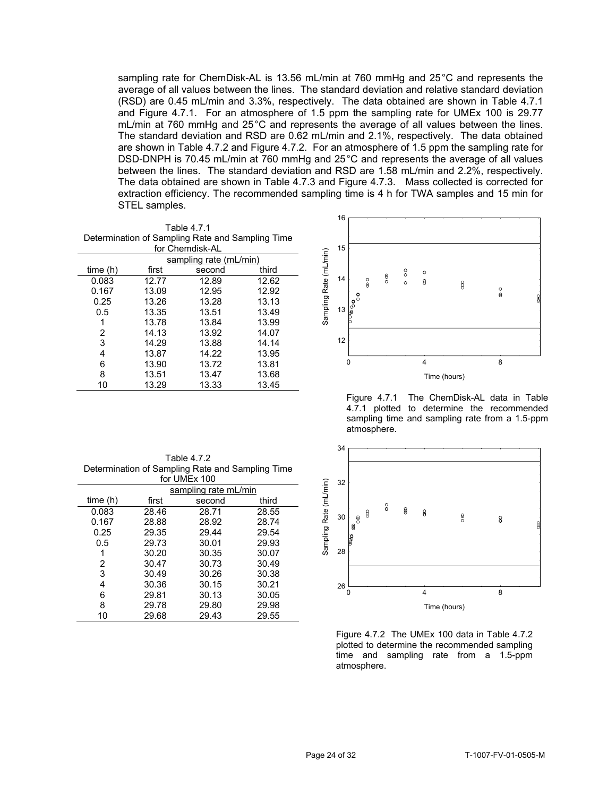sampling rate for ChemDisk-AL is 13.56 mL/min at 760 mmHg and 25°C and represents the average of all values between the lines. The standard deviation and relative standard deviation (RSD) are 0.45 mL/min and 3.3%, respectively. The data obtained are shown in Table 4.7.1 and Figure 4.7.1. For an atmosphere of 1.5 ppm the sampling rate for UMEx 100 is 29.77 mL/min at 760 mmHg and 25°C and represents the average of all values between the lines. The standard deviation and RSD are 0.62 mL/min and 2.1%, respectively. The data obtained are shown in Table 4.7.2 and Figure 4.7.2. For an atmosphere of 1.5 ppm the sampling rate for DSD-DNPH is 70.45 mL/min at 760 mmHg and 25°C and represents the average of all values between the lines. The standard deviation and RSD are 1.58 mL/min and 2.2%, respectively. The data obtained are shown in Table 4.7.3 and Figure 4.7.3. Mass collected is corrected for extraction efficiency. The recommended sampling time is 4 h for TWA samples and 15 min for STEL samples.

|                |       | Table 4.7.1                                      |       |               |          |                       |               |                    |         |              |                    |
|----------------|-------|--------------------------------------------------|-------|---------------|----------|-----------------------|---------------|--------------------|---------|--------------|--------------------|
|                |       | Determination of Sampling Rate and Sampling Time |       |               |          |                       |               |                    |         |              |                    |
|                |       | for Chemdisk-AL                                  |       |               | 15       |                       |               |                    |         |              |                    |
|                |       | sampling rate (mL/min)                           |       | Rate (mL/min) |          |                       |               |                    |         |              |                    |
| time(h)        | first | second                                           | third |               |          |                       |               | $^{\circ}_{\circ}$ | $\circ$ |              |                    |
| 0.083          | 12.77 | 12.89                                            | 12.62 |               | 14       | $\frac{0}{8}$         | $\frac{8}{3}$ | $\circ$            | 8       | 8            |                    |
| 0.167          | 13.09 | 12.95                                            | 12.92 |               |          | ۰                     |               |                    |         |              | $\frac{0}{\Theta}$ |
| 0.25           | 13.26 | 13.28                                            | 13.13 | Sampling      |          | $\cdot \circ^{\circ}$ |               |                    |         |              |                    |
| 0.5            | 13.35 | 13.51                                            | 13.49 |               | 13       |                       |               |                    |         |              |                    |
|                | 13.78 | 13.84                                            | 13.99 |               |          |                       |               |                    |         |              |                    |
| $\overline{2}$ | 14.13 | 13.92                                            | 14.07 |               |          |                       |               |                    |         |              |                    |
| 3              | 14.29 | 13.88                                            | 14.14 |               | 12       |                       |               |                    |         |              |                    |
| 4              | 13.87 | 14.22                                            | 13.95 |               |          |                       |               |                    |         |              |                    |
| 6              | 13.90 | 13.72                                            | 13.81 |               | $\Omega$ |                       |               |                    | 4       |              | 8                  |
| 8              | 13.51 | 13.47                                            | 13.68 |               |          |                       |               |                    |         | Time (hours) |                    |
| 10             | 13.29 | 13.33                                            | 13.45 |               |          |                       |               |                    |         |              |                    |

16 15 Sampling Rate (mL/min) Sampling Rate (mL/min) Sampling Rate (mL/min)  $\rm{^{\circ}}$  $\circ$  $\frac{8}{2}$ 14 8  $\circ$ 8 13 Time (hours)

Figure 4.7.1 The ChemDisk-AL data in Table 4.7.1 plotted to determine the recommended sampling time and sampling rate from a 1.5-ppm atmosphere.



Figure 4.7.2 The UMEx 100 data in Table 4.7.2 plotted to determine the recommended sampling time and sampling rate from a 1.5-ppm atmosphere.

| Table 4.7.2                                      |
|--------------------------------------------------|
| Determination of Sampling Rate and Sampling Time |
| for IIMEV 100                                    |

|         |       |                      | 32    |          |    |
|---------|-------|----------------------|-------|----------|----|
|         |       | sampling rate mL/min |       |          |    |
| time(h) | first | second               | third | (mL/min) |    |
| 0.083   | 28.46 | 28.71                | 28.55 | Rate     |    |
| 0.167   | 28.88 | 28.92                | 28.74 |          | 30 |
| 0.25    | 29.35 | 29.44                | 29.54 | Sampling |    |
| 0.5     | 29.73 | 30.01                | 29.93 |          |    |
|         | 30.20 | 30.35                | 30.07 |          | 28 |
| 2       | 30.47 | 30.73                | 30.49 |          |    |
| 3       | 30.49 | 30.26                | 30.38 |          |    |
| 4       | 30.36 | 30.15                | 30.21 |          | 26 |
| 6       | 29.81 | 30.13                | 30.05 |          |    |
| 8       | 29.78 | 29.80                | 29.98 |          |    |
| 10      | 29.68 | 29.43                | 29.55 |          |    |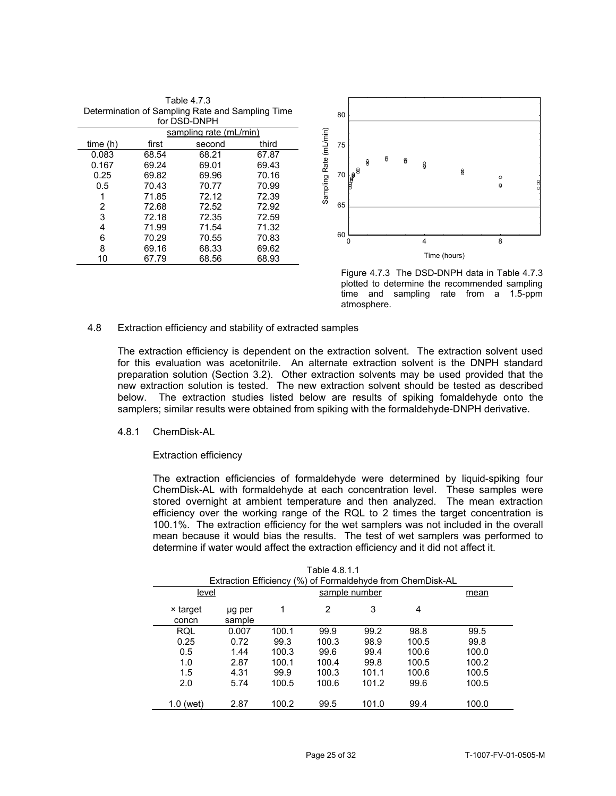|                | Determination of Sampling Rate and Sampling Time<br>for DSD-DNPH |                        |       |          | 80 |                                      |   |   |   |   |              |
|----------------|------------------------------------------------------------------|------------------------|-------|----------|----|--------------------------------------|---|---|---|---|--------------|
|                |                                                                  |                        |       |          |    |                                      |   |   |   |   |              |
|                |                                                                  | sampling rate (mL/min) |       |          |    |                                      |   |   |   |   |              |
| time(h)        | first                                                            | second                 | third | (mL/min) | 75 |                                      |   |   |   |   |              |
| 0.083          | 68.54                                                            | 68.21                  | 67.87 |          |    |                                      |   | ₿ |   |   |              |
| 0.167          | 69.24                                                            | 69.01                  | 69.43 | Rate     |    |                                      | 8 |   | ₿ | 8 |              |
| 0.25           | 69.82                                                            | 69.96                  | 70.16 |          | 70 | $\overline{\mathbb{F}}_{\mathbb{F}}$ |   |   |   |   | 8            |
| 0.5            | 70.43                                                            | 70.77                  | 70.99 | Sampling |    |                                      |   |   |   |   |              |
| 1              | 71.85                                                            | 72.12                  | 72.39 |          |    |                                      |   |   |   |   |              |
| $\overline{2}$ | 72.68                                                            | 72.52                  | 72.92 |          | 65 |                                      |   |   |   |   |              |
| 3              | 72.18                                                            | 72.35                  | 72.59 |          |    |                                      |   |   |   |   |              |
| 4              | 71.99                                                            | 71.54                  | 71.32 |          |    |                                      |   |   |   |   |              |
| 6              | 70.29                                                            | 70.55                  | 70.83 |          | 60 | 0                                    |   |   |   | 4 |              |
| 8              | 69.16                                                            | 68.33                  | 69.62 |          |    |                                      |   |   |   |   |              |
| 10             | 67.79                                                            | 68.56                  | 68.93 |          |    |                                      |   |   |   |   | Time (hours) |

Table 4.7.3



Figure 4.7.3 The DSD-DNPH data in Table 4.7.3 plotted to determine the recommended sampling time and sampling rate from a 1.5-ppm atmosphere.

# 4.8 Extraction efficiency and stability of extracted samples

The extraction efficiency is dependent on the extraction solvent. The extraction solvent used for this evaluation was acetonitrile. An alternate extraction solvent is the DNPH standard preparation solution (Section 3.2). Other extraction solvents may be used provided that the new extraction solution is tested. The new extraction solvent should be tested as described below. The extraction studies listed below are results of spiking fomaldehyde onto the samplers; similar results were obtained from spiking with the formaldehyde-DNPH derivative.

## 4.8.1 ChemDisk-AL

#### Extraction efficiency

The extraction efficiencies of formaldehyde were determined by liquid-spiking four ChemDisk-AL with formaldehyde at each concentration level. These samples were stored overnight at ambient temperature and then analyzed. The mean extraction efficiency over the working range of the RQL to 2 times the target concentration is 100.1%. The extraction efficiency for the wet samplers was not included in the overall mean because it would bias the results. The test of wet samplers was performed to determine if water would affect the extraction efficiency and it did not affect it.

|                   | 1 aui <del>c 4</del> .0.1.1<br>Extraction Efficiency (%) of Formaldehyde from ChemDisk-AL |       |               |       |       |       |  |  |  |  |  |  |
|-------------------|-------------------------------------------------------------------------------------------|-------|---------------|-------|-------|-------|--|--|--|--|--|--|
| level             |                                                                                           |       | sample number |       |       |       |  |  |  |  |  |  |
| × target<br>concn | ug per<br>sample                                                                          | 1     | 2             | 3     | 4     |       |  |  |  |  |  |  |
| <b>RQL</b>        | 0.007                                                                                     | 100.1 | 99.9          | 99.2  | 98.8  | 99.5  |  |  |  |  |  |  |
| 0.25              | 0.72                                                                                      | 99.3  | 100.3         | 98.9  | 100.5 | 99.8  |  |  |  |  |  |  |
| 0.5               | 1.44                                                                                      | 100.3 | 99.6          | 99.4  | 100.6 | 100.0 |  |  |  |  |  |  |
| 1.0               | 2.87                                                                                      | 100.1 | 100.4         | 99.8  | 100.5 | 100.2 |  |  |  |  |  |  |
| 1.5               | 4.31                                                                                      | 99.9  | 100.3         | 101.1 | 100.6 | 100.5 |  |  |  |  |  |  |
| 2.0               | 5.74                                                                                      | 100.5 | 100.6         | 101.2 | 99.6  | 100.5 |  |  |  |  |  |  |
| 1.0 (wet)         | 2.87                                                                                      | 100.2 | 99.5          | 101.0 | 99.4  | 100.0 |  |  |  |  |  |  |

| Table 4.8.1.1 |  |
|---------------|--|
|---------------|--|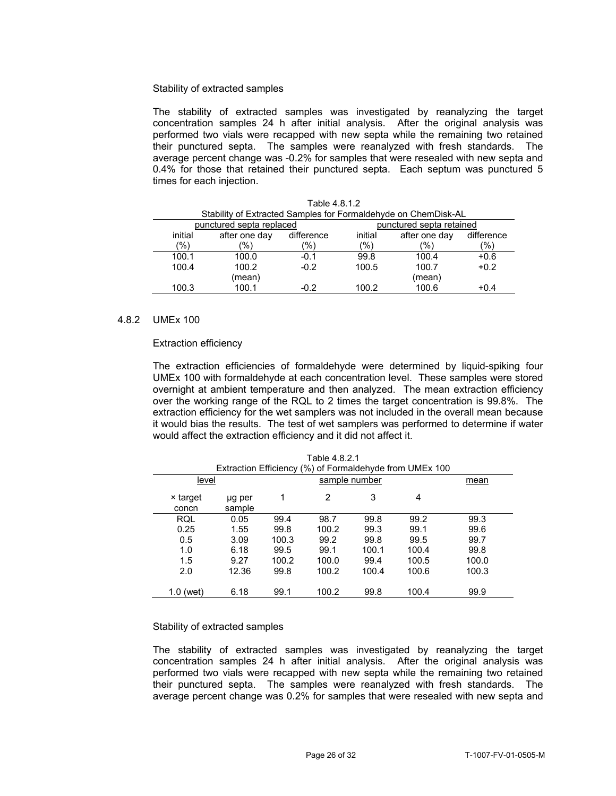# Stability of extracted samples

The stability of extracted samples was investigated by reanalyzing the target concentration samples 24 h after initial analysis. After the original analysis was performed two vials were recapped with new septa while the remaining two retained their punctured septa. The samples were reanalyzed with fresh standards. The average percent change was -0.2% for samples that were resealed with new septa and 0.4% for those that retained their punctured septa. Each septum was punctured 5 times for each injection.

|                                                      | Table 4.8.1.2<br>Stability of Extracted Samples for Formaldehyde on ChemDisk-AL |                |         |               |            |  |  |  |  |  |  |  |
|------------------------------------------------------|---------------------------------------------------------------------------------|----------------|---------|---------------|------------|--|--|--|--|--|--|--|
| punctured septa replaced<br>punctured septa retained |                                                                                 |                |         |               |            |  |  |  |  |  |  |  |
| initial                                              | after one day                                                                   | difference     | initial | after one day | difference |  |  |  |  |  |  |  |
| (%)                                                  | $\frac{10}{6}$                                                                  | $\frac{10}{6}$ | (%)     | '%)           | (%)        |  |  |  |  |  |  |  |
| 100.1                                                | 100.0                                                                           | $-0.1$         | 99.8    | 100.4         | $+0.6$     |  |  |  |  |  |  |  |
| 100.4                                                | 100.2                                                                           | $-0.2$         | 100.5   | 100.7         | $+0.2$     |  |  |  |  |  |  |  |
|                                                      | (mean)                                                                          |                |         | (mean)        |            |  |  |  |  |  |  |  |
| 100.3                                                | 100.1                                                                           | $-0.2$         | 100.2   | 100.6         | $+0.4$     |  |  |  |  |  |  |  |

### 4.8.2 UMEx 100

# Extraction efficiency

The extraction efficiencies of formaldehyde were determined by liquid-spiking four UMEx 100 with formaldehyde at each concentration level. These samples were stored overnight at ambient temperature and then analyzed. The mean extraction efficiency over the working range of the RQL to 2 times the target concentration is 99.8%. The extraction efficiency for the wet samplers was not included in the overall mean because it would bias the results. The test of wet samplers was performed to determine if water would affect the extraction efficiency and it did not affect it.

| Table 4.8.2.1<br>Extraction Efficiency (%) of Formaldehyde from UMEx 100 |                  |       |       |       |       |       |  |  |  |  |  |
|--------------------------------------------------------------------------|------------------|-------|-------|-------|-------|-------|--|--|--|--|--|
| level                                                                    | mean             |       |       |       |       |       |  |  |  |  |  |
| × target<br>concn                                                        | ug per<br>sample | 1     | 2     | 3     | 4     |       |  |  |  |  |  |
| RQL                                                                      | 0.05             | 99.4  | 98.7  | 99.8  | 99.2  | 99.3  |  |  |  |  |  |
| 0.25                                                                     | 1.55             | 99.8  | 100.2 | 99.3  | 99.1  | 99.6  |  |  |  |  |  |
| 0.5                                                                      | 3.09             | 100.3 | 99.2  | 99.8  | 99.5  | 99.7  |  |  |  |  |  |
| 1.0                                                                      | 6.18             | 99.5  | 99.1  | 100.1 | 100.4 | 99.8  |  |  |  |  |  |
| 1.5                                                                      | 9.27             | 100.2 | 100.0 | 99.4  | 100.5 | 100.0 |  |  |  |  |  |
| 2.0                                                                      | 12.36            | 99.8  | 100.2 | 100.4 | 100.6 | 100.3 |  |  |  |  |  |
| 1.0 (wet)                                                                | 6.18             | 99.1  | 100.2 | 99.8  | 100.4 | 99.9  |  |  |  |  |  |

#### Stability of extracted samples

The stability of extracted samples was investigated by reanalyzing the target concentration samples 24 h after initial analysis. After the original analysis was performed two vials were recapped with new septa while the remaining two retained their punctured septa. The samples were reanalyzed with fresh standards. The average percent change was 0.2% for samples that were resealed with new septa and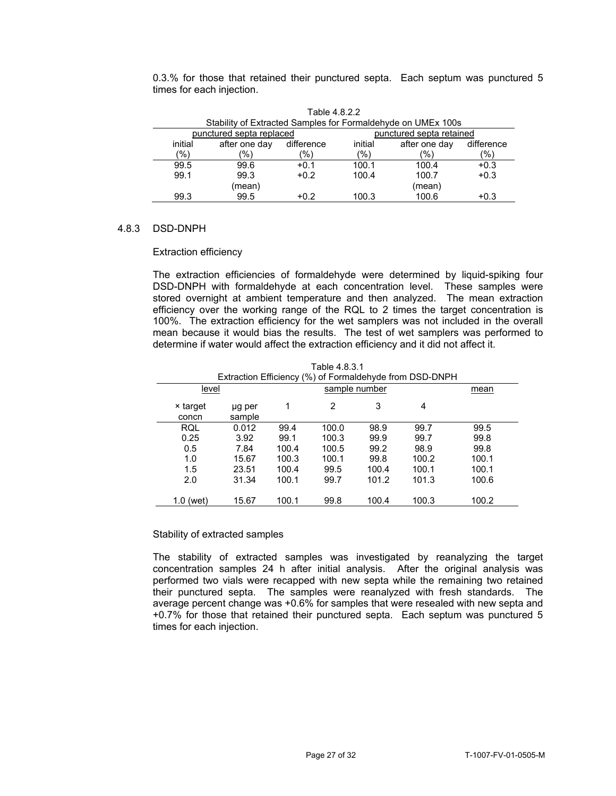0.3.% for those that retained their punctured septa. Each septum was punctured 5 times for each injection.

|                                                      | Table 4.8.2.2                                                |            |         |               |            |  |  |  |  |  |  |  |
|------------------------------------------------------|--------------------------------------------------------------|------------|---------|---------------|------------|--|--|--|--|--|--|--|
|                                                      | Stability of Extracted Samples for Formaldehyde on UMEx 100s |            |         |               |            |  |  |  |  |  |  |  |
| punctured septa replaced<br>punctured septa retained |                                                              |            |         |               |            |  |  |  |  |  |  |  |
| initial                                              | after one day                                                | difference | initial | after one day | difference |  |  |  |  |  |  |  |
| (%)                                                  | (%)<br>(%)<br>(%)<br>(%)<br>$\frac{10}{6}$                   |            |         |               |            |  |  |  |  |  |  |  |
| 99.5                                                 | 99.6                                                         | $+0.1$     | 100.1   | 100.4         | $+0.3$     |  |  |  |  |  |  |  |
| 99.1                                                 | 99.3                                                         | $+0.2$     | 100.4   | 100.7         | $+0.3$     |  |  |  |  |  |  |  |
|                                                      | (mean)                                                       |            |         | (mean)        |            |  |  |  |  |  |  |  |
| 99.3                                                 | 99.5                                                         | $+0.2$     | 100.3   | 100.6         | $+0.3$     |  |  |  |  |  |  |  |

# 4.8.3 DSD-DNPH

# Extraction efficiency

The extraction efficiencies of formaldehyde were determined by liquid-spiking four DSD-DNPH with formaldehyde at each concentration level. These samples were stored overnight at ambient temperature and then analyzed. The mean extraction efficiency over the working range of the RQL to 2 times the target concentration is 100%. The extraction efficiency for the wet samplers was not included in the overall mean because it would bias the results. The test of wet samplers was performed to determine if water would affect the extraction efficiency and it did not affect it.

|                   | Extraction Efficiency (%) of Formaldehyde from DSD-DNPH |       |       |       |       |       |  |  |  |  |  |  |
|-------------------|---------------------------------------------------------|-------|-------|-------|-------|-------|--|--|--|--|--|--|
| level             |                                                         |       | mean  |       |       |       |  |  |  |  |  |  |
| × target<br>concn | µg per<br>sample                                        | 1     | 2     | 3     | 4     |       |  |  |  |  |  |  |
| RQL               | 0.012                                                   | 99.4  | 100.0 | 98.9  | 99.7  | 99.5  |  |  |  |  |  |  |
| 0.25              | 3.92                                                    | 99.1  | 100.3 | 99.9  | 99.7  | 99.8  |  |  |  |  |  |  |
| 0.5               | 7.84                                                    | 100.4 | 100.5 | 99.2  | 98.9  | 99.8  |  |  |  |  |  |  |
| 1.0               | 15.67                                                   | 100.3 | 100.1 | 99.8  | 100.2 | 100.1 |  |  |  |  |  |  |
| 1.5               | 23.51                                                   | 100.4 | 99.5  | 100.4 | 100.1 | 100.1 |  |  |  |  |  |  |
| 2.0               | 31.34                                                   | 100.1 | 99.7  | 101.2 | 101.3 | 100.6 |  |  |  |  |  |  |
|                   |                                                         |       |       |       |       |       |  |  |  |  |  |  |
| $1.0$ (wet)       | 15.67                                                   | 100.1 | 99.8  | 100.4 | 100.3 | 100.2 |  |  |  |  |  |  |

Table 4.8.3.1

# Stability of extracted samples

 average percent change was +0.6% for samples that were resealed with new septa and The stability of extracted samples was investigated by reanalyzing the target concentration samples 24 h after initial analysis. After the original analysis was performed two vials were recapped with new septa while the remaining two retained their punctured septa. The samples were reanalyzed with fresh standards. The +0.7% for those that retained their punctured septa. Each septum was punctured 5 times for each injection.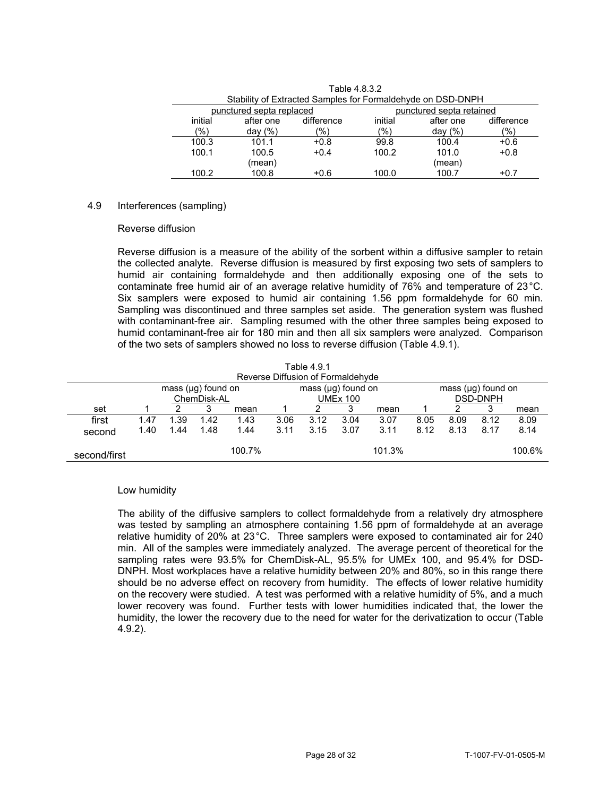|                                                      | Stability of Extracted Samples for Formaldehyde on DSD-DNPH |               |         |            |            |  |  |  |  |  |  |  |  |
|------------------------------------------------------|-------------------------------------------------------------|---------------|---------|------------|------------|--|--|--|--|--|--|--|--|
| punctured septa retained<br>punctured septa replaced |                                                             |               |         |            |            |  |  |  |  |  |  |  |  |
| initial                                              | after one                                                   | difference    | initial | after one  | difference |  |  |  |  |  |  |  |  |
| (%)                                                  | day $(\%)$                                                  | $\frac{1}{2}$ | (%)     | day $(% )$ | (%)        |  |  |  |  |  |  |  |  |
| 100.3                                                | 101.1                                                       | $+0.8$        | 99.8    | 100.4      | $+0.6$     |  |  |  |  |  |  |  |  |
| 100.1                                                | 100.5                                                       | $+0.4$        | 100.2   | 101.0      | $+0.8$     |  |  |  |  |  |  |  |  |
|                                                      | (mean)                                                      |               |         | (mean)     |            |  |  |  |  |  |  |  |  |
| 100.2                                                | 100.8                                                       | $+0.6$        | 100.0   | 100.7      | $+0.7$     |  |  |  |  |  |  |  |  |

Table 4.8.3.2

# 4.9 Interferences (sampling)

### Reverse diffusion

contaminate free humid air of an average relative humidity of 76% and temperature of  $23^{\circ}$ C. contaminate free humid air of an average relative humidity of 76% and temperature of 23°C.<br>Six samplers were exposed to humid air containing 1.56 ppm formaldehyde for 60 min. Reverse diffusion is a measure of the ability of the sorbent within a diffusive sampler to retain the collected analyte. Reverse diffusion is measured by first exposing two sets of samplers to humid air containing formaldehyde and then additionally exposing one of the sets to Sampling was discontinued and three samples set aside. The generation system was flushed with contaminant-free air. Sampling resumed with the other three samples being exposed to humid contaminant-free air for 180 min and then all six samplers were analyzed. Comparison of the two sets of samplers showed no loss to reverse diffusion (Table 4.9.1).

|              | Table 4.9.1                                                                   |      |      |      |      |                                      |      |      |      |      |      |      |  |
|--------------|-------------------------------------------------------------------------------|------|------|------|------|--------------------------------------|------|------|------|------|------|------|--|
|              | Reverse Diffusion of Formaldehyde                                             |      |      |      |      |                                      |      |      |      |      |      |      |  |
|              | mass $(\mu g)$ found on<br>mass $(\mu q)$ found on<br>mass $(\mu q)$ found on |      |      |      |      |                                      |      |      |      |      |      |      |  |
|              | ChemDisk-AL<br><b>DSD-DNPH</b><br><b>UMEx 100</b>                             |      |      |      |      |                                      |      |      |      |      |      |      |  |
| set          | 3<br>3<br>3<br>2<br>mean<br>mean                                              |      |      |      |      |                                      |      |      |      |      |      | mean |  |
| first        | 1.47                                                                          | ∷39  | 1.42 | 1.43 | 3.06 | 3.12                                 | 3.04 | 3.07 | 8.05 | 8.09 | 8.12 | 8.09 |  |
| second       | 1.40                                                                          | 1.44 | 1.48 | 1.44 | 3.11 | 3.07<br>3.11<br>8.12<br>3.15<br>8.13 |      |      |      |      | 8.17 | 8.14 |  |
| second/first | 101.3%<br>100.7%<br>100.6%                                                    |      |      |      |      |                                      |      |      |      |      |      |      |  |

# Low humidity

The ability of the diffusive samplers to collect formaldehyde from a relatively dry atmosphere was tested by sampling an atmosphere containing 1.56 ppm of formaldehyde at an average relative humidity of 20% at 23°C. Three samplers were exposed to contaminated air for 240 min. All of the samples were immediately analyzed. The average percent of theoretical for the sampling rates were 93.5% for ChemDisk-AL, 95.5% for UMEx 100, and 95.4% for DSD-DNPH. Most workplaces have a relative humidity between 20% and 80%, so in this range there should be no adverse effect on recovery from humidity. The effects of lower relative humidity on the recovery were studied. A test was performed with a relative humidity of 5%, and a much lower recovery was found. Further tests with lower humidities indicated that, the lower the humidity, the lower the recovery due to the need for water for the derivatization to occur (Table 4.9.2).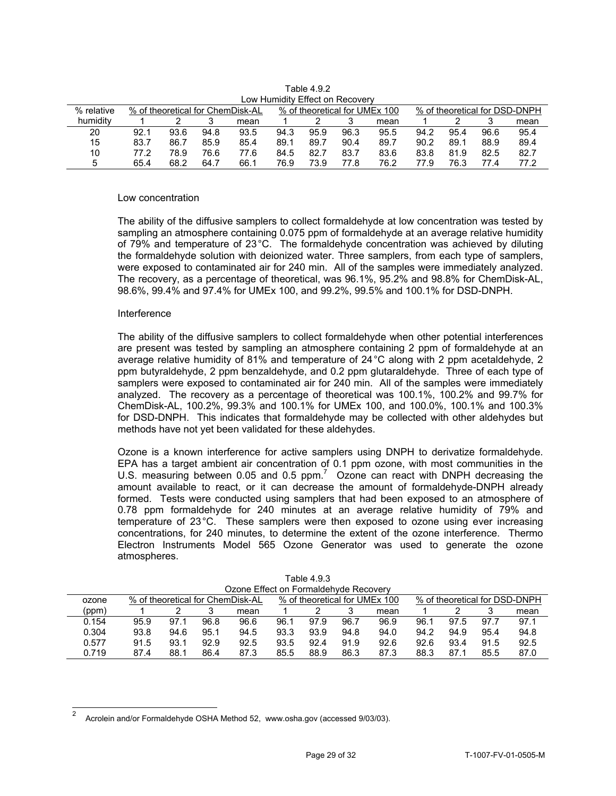| % relative |      |      |      | % of theoretical for ChemDisk-AL |      |      |      | % of theoretical for UMEx 100 |      |      |      | % of theoretical for DSD-DNPH |
|------------|------|------|------|----------------------------------|------|------|------|-------------------------------|------|------|------|-------------------------------|
|            |      |      |      |                                  |      |      |      |                               |      |      |      |                               |
| humidity   |      |      |      | mean                             |      |      |      | mean                          |      |      |      | mean                          |
| 20         | 92.1 | 93.6 | 94.8 | 93.5                             | 94.3 | 95.9 | 96.3 | 95.5                          | 94.2 | 95.4 | 96.6 | 95.4                          |
| 15         | 83.7 | 86.7 | 85.9 | 85.4                             | 89.1 | 89.7 | 90.4 | 89.7                          | 90.2 | 89.1 | 88.9 | 89.4                          |
| 10         | 77.2 | 78.9 | 76.6 | 77.6                             | 84.5 | 82.7 | 83.7 | 83.6                          | 83.8 | 81.9 | 82.5 | 82.7                          |
| b          | 65.4 | 68.2 | 64.7 | 66.1                             | 76.9 | 73.9 | 77.8 | 76.2                          | 77.9 | 76.3 | 77.4 | 77.2                          |

Table 4.9.2 Low Humidity Effect on Recovery

# Low concentration

The ability of the diffusive samplers to collect formaldehyde at low concentration was tested by sampling an atmosphere containing 0.075 ppm of formaldehyde at an average relative humidity of 79% and temperature of 23°C. The formaldehyde concentration was achieved by diluting the formaldehyde solution with deionized water. Three samplers, from each type of samplers, were exposed to contaminated air for 240 min. All of the samples were immediately analyzed. The recovery, as a percentage of theoretical, was 96.1%, 95.2% and 98.8% for ChemDisk-AL, 98.6%, 99.4% and 97.4% for UMEx 100, and 99.2%, 99.5% and 100.1% for DSD-DNPH.

### Interference

l

The ability of the diffusive samplers to collect formaldehyde when other potential interferences are present was tested by sampling an atmosphere containing 2 ppm of formaldehyde at an average relative humidity of 81% and temperature of 24°C along with 2 ppm acetaldehyde, 2 ppm butyraldehyde, 2 ppm benzaldehyde, and 0.2 ppm glutaraldehyde. Three of each type of samplers were exposed to contaminated air for 240 min. All of the samples were immediately analyzed. The recovery as a percentage of theoretical was 100.1%, 100.2% and 99.7% for ChemDisk-AL, 100.2%, 99.3% and 100.1% for UMEx 100, and 100.0%, 100.1% and 100.3% for DSD-DNPH. This indicates that formaldehyde may be collected with other aldehydes but methods have not yet been validated for these aldehydes.

EPA has a target ambient air concentration of 0.1 ppm ozone, with most communities in the Ozone is a known interference for active samplers using DNPH to derivatize formaldehyde. U.S. measuring between 0.05 and 0.5 ppm.  $7\degree$  Ozone can react with DNPH decreasing the amount available to react, or it can decrease the amount of formaldehyde-DNPH already formed. Tests were conducted using samplers that had been exposed to an atmosphere of 0.78 ppm formaldehyde for 240 minutes at an average relative humidity of 79% and temperature of 23°C. These samplers were then exposed to ozone using ever increasing concentrations, for 240 minutes, to determine the extent of the ozone interference. Thermo Electron Instruments Model 565 Ozone Generator was used to generate the ozone atmospheres.

|       | Ozone Effect on Formaldehyde Recovery                                                              |       |      |      |      |      |      |      |      |      |      |      |  |
|-------|----------------------------------------------------------------------------------------------------|-------|------|------|------|------|------|------|------|------|------|------|--|
| ozone | % of theoretical for DSD-DNPH<br>% of theoretical for ChemDisk-AL<br>% of theoretical for UMEx 100 |       |      |      |      |      |      |      |      |      |      |      |  |
| (ppm) |                                                                                                    |       |      | mean |      |      |      | mean |      |      |      | mean |  |
| 0.154 | 95.9                                                                                               | 97. . | 96.8 | 96.6 | 96.1 | 97.9 | 96.7 | 96.9 | 96.1 | 97.5 | 97.7 | 97.1 |  |
| 0.304 | 93.8                                                                                               | 94.6  | 95.1 | 94.5 | 93.3 | 93.9 | 94.8 | 94.0 | 94.2 | 94.9 | 95.4 | 94.8 |  |
| 0.577 | 91.5                                                                                               | 93.1  | 92.9 | 92.5 | 93.5 | 92.4 | 91.9 | 92.6 | 92.6 | 93.4 | 91.5 | 92.5 |  |
| 0.719 | 87.4                                                                                               | 88.1  | 86.4 | 87.3 | 85.5 | 88.9 | 86.3 | 87.3 | 88.3 | 87.1 | 85.5 | 87.0 |  |

Table 4.9.3

Acrolein and/or Formaldehyde OSHA Method 52, <www.osha.gov>(accessed 9/03/03). 2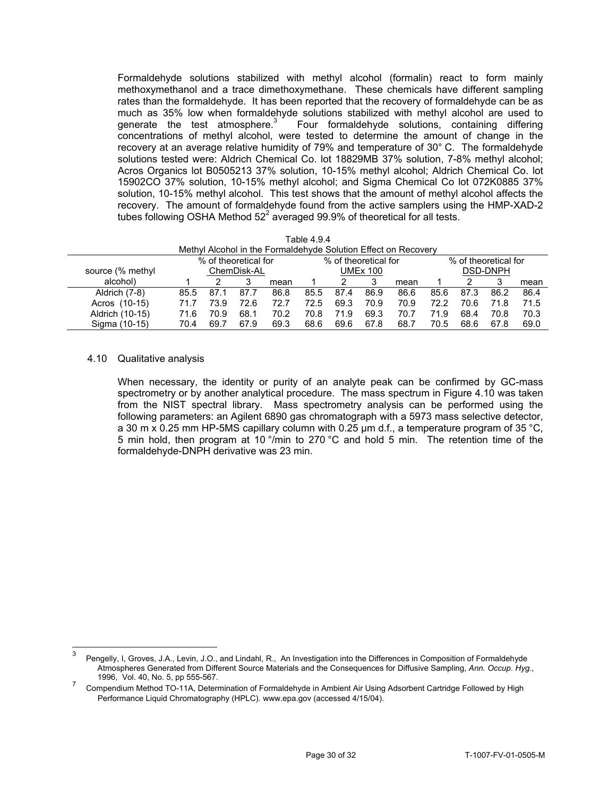Formaldehyde solutions stabilized with methyl alcohol (formalin) react to form mainly methoxymethanol and a trace dimethoxymethane. These chemicals have different sampling rates than the formaldehyde. It has been reported that the recovery of formaldehyde can be as much as 35% low when formaldehyde solutions stabilized with methyl alcohol are used to generate the test atmosphere. $3$  Four formaldehyde solutions, containing differing concentrations of methyl alcohol, were tested to determine the amount of change in the recovery at an average relative humidity of 79% and temperature of 30° C. The formaldehyde solutions tested were: Aldrich Chemical Co. lot 18829MB 37% solution, 7-8% methyl alcohol; Acros Organics lot B0505213 37% solution, 10-15% methyl alcohol; Aldrich Chemical Co. lot 15902CO 37% solution, 10-15% methyl alcohol; and Sigma Chemical Co lot 072K0885 37% solution, 10-15% methyl alcohol. This test shows that the amount of methyl alcohol affects the recovery. The amount of formaldehyde found from the active samplers using the HMP-XAD-2 tubes following OSHA Method 52 $^2$  averaged 99.9% of theoretical for all tests.

| Table 4.9.4<br>Methyl Alcohol in the Formaldehyde Solution Effect on Recovery |      |      |      |      |      |      |      |      |      |      |      |      |
|-------------------------------------------------------------------------------|------|------|------|------|------|------|------|------|------|------|------|------|
| % of theoretical for<br>% of theoretical for<br>% of theoretical for          |      |      |      |      |      |      |      |      |      |      |      |      |
| <b>DSD-DNPH</b><br>source (% methyl<br>ChemDisk-AL<br><b>UMEx 100</b>         |      |      |      |      |      |      |      |      |      |      |      |      |
| alcohol)                                                                      |      |      | 3    | mean |      |      |      | mean |      |      |      | mean |
| Aldrich (7-8)                                                                 | 85.5 | 87.1 | 87.7 | 86.8 | 85.5 | 87.4 | 86.9 | 86.6 | 85.6 | 87.3 | 86.2 | 86.4 |
| Acros (10-15)                                                                 | 71.7 | 73.9 | 72.6 | 72.7 | 72.5 | 69.3 | 70.9 | 70.9 | 72.2 | 70.6 | 71.8 | 71.5 |
| Aldrich (10-15)                                                               | 71.6 | 70.9 | 68.1 | 70.2 | 70.8 | 71.9 | 69.3 | 70.7 | 71.9 | 68.4 | 70.8 | 70.3 |
| Sigma (10-15)                                                                 | 70.4 | 69.7 | 67.9 | 69.3 | 68.6 | 69.6 | 67.8 | 68.7 | 70.5 | 68.6 | 67.8 | 69.0 |

### 4.10 Qualitative analysis

When necessary, the identity or purity of an analyte peak can be confirmed by GC-mass spectrometry or by another analytical procedure. The mass spectrum in Figure 4.10 was taken from the NIST spectral library. Mass spectrometry analysis can be performed using the following parameters: an Agilent 6890 gas chromatograph with a 5973 mass selective detector, a 30 m x 0.25 mm HP-5MS capillary column with 0.25  $\mu$ m d.f., a temperature program of 35 °C, 5 min hold, then program at 10 °/min to 270 °C and hold 5 min. The retention time of the formaldehyde-DNPH derivative was 23 min.

<sup>3</sup> Pengelly, I, Groves, J.A., Levin, J.O., and Lindahl, R., An Investigation into the Differences in Composition of Formaldehyde Atmospheres Generated from Different Source Materials and the Consequences for Diffusive Sampling, *Ann. Occup. Hyg*.,

<sup>&</sup>lt;sup>7</sup> Compendium Method TO-11A, Determination of Formaldehyde in Ambient Air Using Adsorbent Cartridge Followed by High Performance Liquid Chromatography (HPLC). <www.epa.gov> (accessed 4/15/04).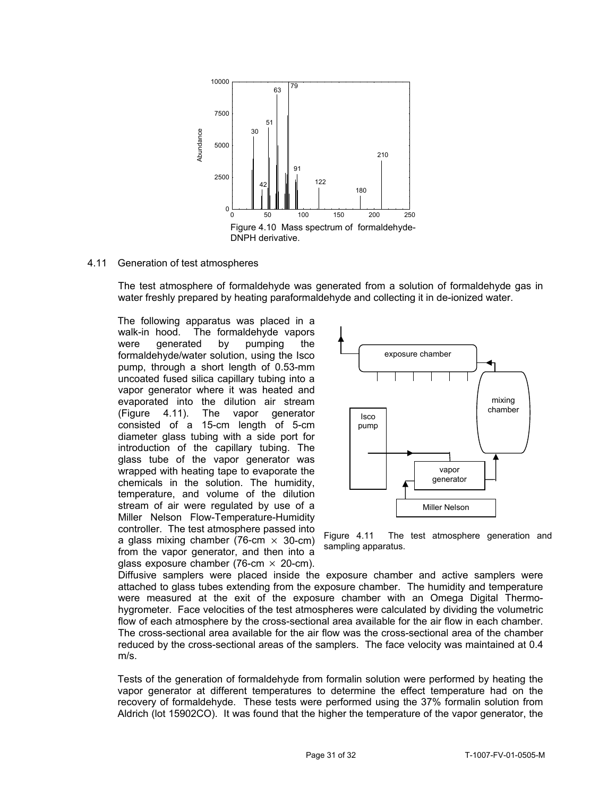

#### 4.11 Generation of test atmospheres

The test atmosphere of formaldehyde was generated from a solution of formaldehyde gas in water freshly prepared by heating paraformaldehyde and collecting it in de-ionized water.

The following apparatus was placed in a walk-in hood. The formaldehyde vapors were generated by pumping the formaldehyde/water solution, using the Isco pump, through a short length of 0.53-mm uncoated fused silica capillary tubing into a vapor generator where it was heated and evaporated into the dilution air stream (Figure 4.11). The vapor generator consisted of a 15-cm length of 5-cm diameter glass tubing with a side port for introduction of the capillary tubing. The glass tube of the vapor generator was wrapped with heating tape to evaporate the chemicals in the solution. The humidity, temperature, and volume of the dilution stream of air were regulated by use of a Miller Nelson Flow-Temperature-Humidity controller. The test atmosphere passed into<br>a glass mixing chamber (76-cm  $\times$  30-cm) Figure 4.11 The test atmosphere generation and<br>from the vapor generator, and then into a<br>sampling apparatus. glass exposure chamber (76-cm  $\times$  20-cm).  $\frac{8}{5}$  sous and the distance of the state and the minimization of the distance of the state of the distance of the minimization of the state of the state of the minimization of the state of the state of the purpose of



Diffusive samplers were placed inside the exposure chamber and active samplers were attached to glass tubes extending from the exposure chamber. The humidity and temperature were measured at the exit of the exposure chamber with an Omega Digital Thermohygrometer. Face velocities of the test atmospheres were calculated by dividing the volumetric flow of each atmosphere by the cross-sectional area available for the air flow in each chamber. The cross-sectional area available for the air flow was the cross-sectional area of the chamber reduced by the cross-sectional areas of the samplers. The face velocity was maintained at 0.4 m/s.

Tests of the generation of formaldehyde from formalin solution were performed by heating the vapor generator at different temperatures to determine the effect temperature had on the recovery of formaldehyde. These tests were performed using the 37% formalin solution from s of<br>pr ge<br>very<br>ich (l